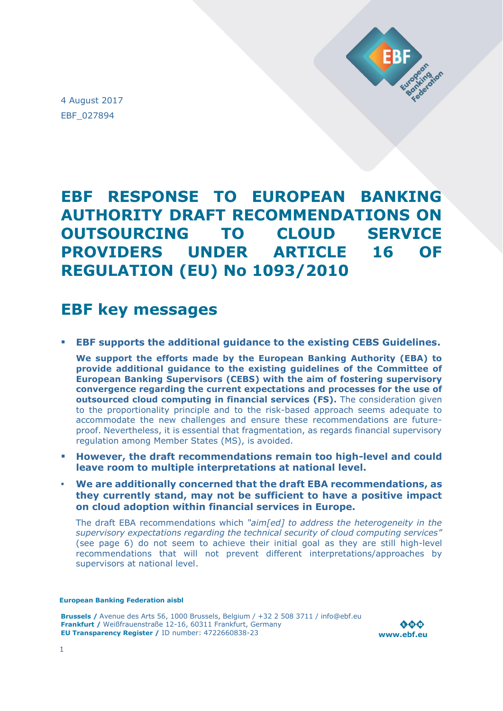

4 August 2017 EBF\_027894

# **EBF RESPONSE TO EUROPEAN BANKING AUTHORITY DRAFT RECOMMENDATIONS ON OUTSOURCING TO CLOUD SERVICE PROVIDERS UNDER ARTICLE 16 OF REGULATION (EU) No 1093/2010**

# **EBF key messages**

**EBF supports the additional guidance to the existing CEBS Guidelines.**

**We support the efforts made by the European Banking Authority (EBA) to provide additional guidance to the existing guidelines of the Committee of European Banking Supervisors (CEBS) with the aim of fostering supervisory convergence regarding the current expectations and processes for the use of outsourced cloud computing in financial services (FS).** The consideration given to the proportionality principle and to the risk-based approach seems adequate to accommodate the new challenges and ensure these recommendations are futureproof. Nevertheless, it is essential that fragmentation, as regards financial supervisory regulation among Member States (MS), is avoided.

- **However, the draft recommendations remain too high-level and could leave room to multiple interpretations at national level.**
- **We are additionally concerned that the draft EBA recommendations, as they currently stand, may not be sufficient to have a positive impact on cloud adoption within financial services in Europe.**

The draft EBA recommendations which *"aim[ed] to address the heterogeneity in the supervisory expectations regarding the technical security of cloud computing services"* (see page 6) do not seem to achieve their initial goal as they are still high-level recommendations that will not prevent different interpretations/approaches by supervisors at national level.

#### **European Banking Federation aisbl**

**Brussels /** Avenue des Arts 56, 1000 Brussels, Belgium / +32 2 508 3711 / info@ebf.eu **Frankfurt /** Weißfrauenstraße 12-16, 60311 Frankfurt, Germany **EU Transparency Register /** ID number: 4722660838-23

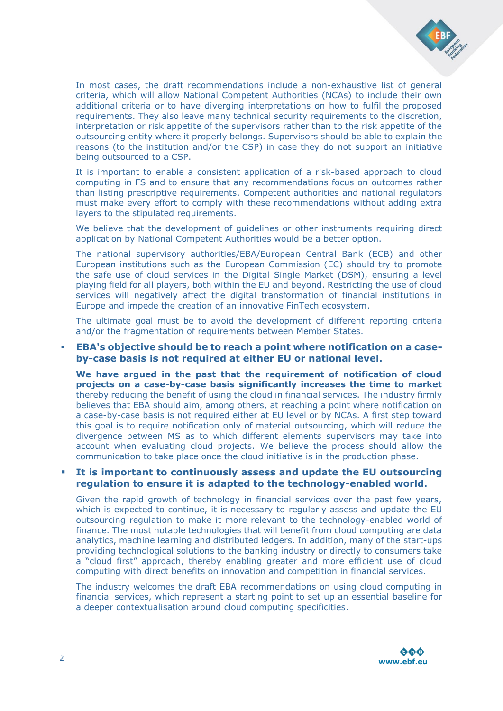

In most cases, the draft recommendations include a non-exhaustive list of general criteria, which will allow National Competent Authorities (NCAs) to include their own additional criteria or to have diverging interpretations on how to fulfil the proposed requirements. They also leave many technical security requirements to the discretion, interpretation or risk appetite of the supervisors rather than to the risk appetite of the outsourcing entity where it properly belongs. Supervisors should be able to explain the reasons (to the institution and/or the CSP) in case they do not support an initiative being outsourced to a CSP.

It is important to enable a consistent application of a risk-based approach to cloud computing in FS and to ensure that any recommendations focus on outcomes rather than listing prescriptive requirements. Competent authorities and national regulators must make every effort to comply with these recommendations without adding extra layers to the stipulated requirements.

We believe that the development of quidelines or other instruments requiring direct application by National Competent Authorities would be a better option.

The national supervisory authorities/EBA/European Central Bank (ECB) and other European institutions such as the European Commission (EC) should try to promote the safe use of cloud services in the Digital Single Market (DSM), ensuring a level playing field for all players, both within the EU and beyond. Restricting the use of cloud services will negatively affect the digital transformation of financial institutions in Europe and impede the creation of an innovative FinTech ecosystem.

The ultimate goal must be to avoid the development of different reporting criteria and/or the fragmentation of requirements between Member States.

#### ▪ **EBA's objective should be to reach a point where notification on a caseby-case basis is not required at either EU or national level.**

**We have argued in the past that the requirement of notification of cloud projects on a case-by-case basis significantly increases the time to market**  thereby reducing the benefit of using the cloud in financial services. The industry firmly believes that EBA should aim, among others, at reaching a point where notification on a case-by-case basis is not required either at EU level or by NCAs. A first step toward this goal is to require notification only of material outsourcing, which will reduce the divergence between MS as to which different elements supervisors may take into account when evaluating cloud projects. We believe the process should allow the communication to take place once the cloud initiative is in the production phase.

#### **It is important to continuously assess and update the EU outsourcing regulation to ensure it is adapted to the technology-enabled world.**

Given the rapid growth of technology in financial services over the past few years, which is expected to continue, it is necessary to regularly assess and update the EU outsourcing regulation to make it more relevant to the technology-enabled world of finance. The most notable technologies that will benefit from cloud computing are data analytics, machine learning and distributed ledgers. In addition, many of the start-ups providing technological solutions to the banking industry or directly to consumers take a "cloud first" approach, thereby enabling greater and more efficient use of cloud computing with direct benefits on innovation and competition in financial services.

The industry welcomes the draft EBA recommendations on using cloud computing in financial services, which represent a starting point to set up an essential baseline for a deeper contextualisation around cloud computing specificities.

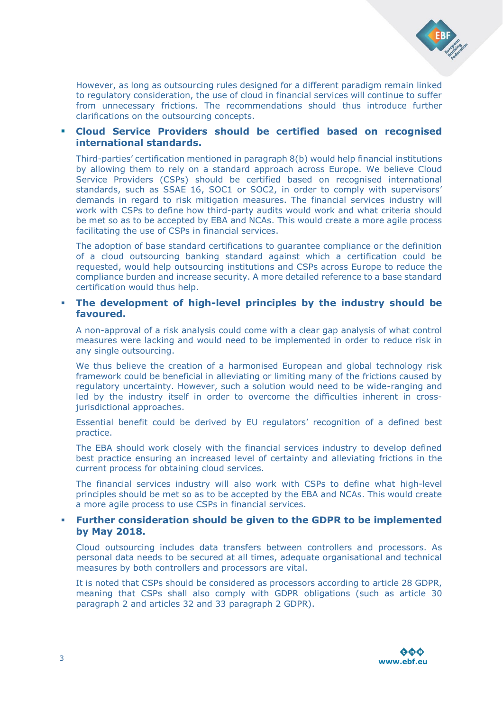

However, as long as outsourcing rules designed for a different paradigm remain linked to regulatory consideration, the use of cloud in financial services will continue to suffer from unnecessary frictions. The recommendations should thus introduce further clarifications on the outsourcing concepts.

## **Cloud Service Providers should be certified based on recognised international standards.**

Third-parties' certification mentioned in paragraph 8(b) would help financial institutions by allowing them to rely on a standard approach across Europe. We believe Cloud Service Providers (CSPs) should be certified based on recognised international standards, such as SSAE 16, SOC1 or SOC2, in order to comply with supervisors' demands in regard to risk mitigation measures. The financial services industry will work with CSPs to define how third-party audits would work and what criteria should be met so as to be accepted by EBA and NCAs. This would create a more agile process facilitating the use of CSPs in financial services.

The adoption of base standard certifications to guarantee compliance or the definition of a cloud outsourcing banking standard against which a certification could be requested, would help outsourcing institutions and CSPs across Europe to reduce the compliance burden and increase security. A more detailed reference to a base standard certification would thus help.

#### **The development of high-level principles by the industry should be favoured.**

A non-approval of a risk analysis could come with a clear gap analysis of what control measures were lacking and would need to be implemented in order to reduce risk in any single outsourcing.

We thus believe the creation of a harmonised European and global technology risk framework could be beneficial in alleviating or limiting many of the frictions caused by regulatory uncertainty. However, such a solution would need to be wide-ranging and led by the industry itself in order to overcome the difficulties inherent in crossjurisdictional approaches.

Essential benefit could be derived by EU regulators' recognition of a defined best practice.

The EBA should work closely with the financial services industry to develop defined best practice ensuring an increased level of certainty and alleviating frictions in the current process for obtaining cloud services.

The financial services industry will also work with CSPs to define what high-level principles should be met so as to be accepted by the EBA and NCAs. This would create a more agile process to use CSPs in financial services.

#### **Further consideration should be given to the GDPR to be implemented by May 2018.**

Cloud outsourcing includes data transfers between controllers and processors. As personal data needs to be secured at all times, adequate organisational and technical measures by both controllers and processors are vital.

It is noted that CSPs should be considered as processors according to article 28 GDPR, meaning that CSPs shall also comply with GDPR obligations (such as article 30 paragraph 2 and articles 32 and 33 paragraph 2 GDPR).

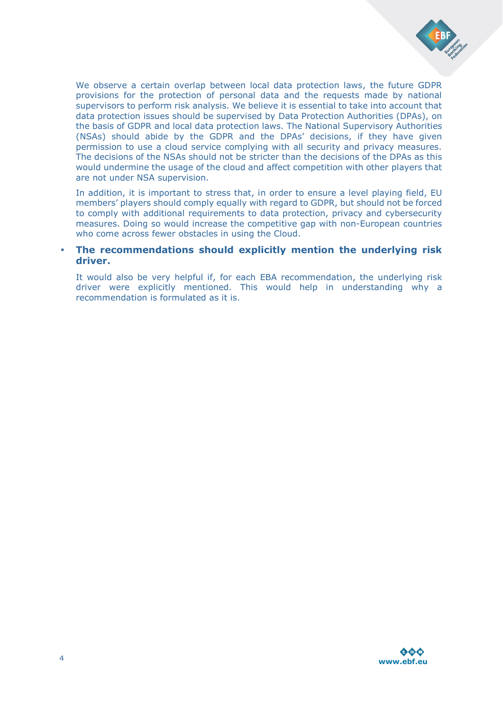

We observe a certain overlap between local data protection laws, the future GDPR provisions for the protection of personal data and the requests made by national supervisors to perform risk analysis. We believe it is essential to take into account that data protection issues should be supervised by Data Protection Authorities (DPAs), on the basis of GDPR and local data protection laws. The National Supervisory Authorities (NSAs) should abide by the GDPR and the DPAs' decisions, if they have given permission to use a cloud service complying with all security and privacy measures. The decisions of the NSAs should not be stricter than the decisions of the DPAs as this would undermine the usage of the cloud and affect competition with other players that are not under NSA supervision.

In addition, it is important to stress that, in order to ensure a level playing field, EU members' players should comply equally with regard to GDPR, but should not be forced to comply with additional requirements to data protection, privacy and cybersecurity measures. Doing so would increase the competitive gap with non-European countries who come across fewer obstacles in using the Cloud.

#### ▪ **The recommendations should explicitly mention the underlying risk driver.**

It would also be very helpful if, for each EBA recommendation, the underlying risk driver were explicitly mentioned. This would help in understanding why a recommendation is formulated as it is.

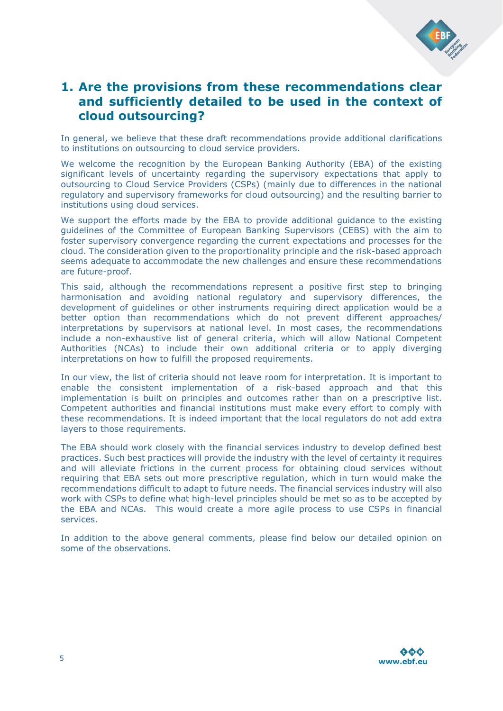

## **1. Are the provisions from these recommendations clear and sufficiently detailed to be used in the context of cloud outsourcing?**

In general, we believe that these draft recommendations provide additional clarifications to institutions on outsourcing to cloud service providers.

We welcome the recognition by the European Banking Authority (EBA) of the existing significant levels of uncertainty regarding the supervisory expectations that apply to outsourcing to Cloud Service Providers (CSPs) (mainly due to differences in the national regulatory and supervisory frameworks for cloud outsourcing) and the resulting barrier to institutions using cloud services.

We support the efforts made by the EBA to provide additional guidance to the existing guidelines of the Committee of European Banking Supervisors (CEBS) with the aim to foster supervisory convergence regarding the current expectations and processes for the cloud. The consideration given to the proportionality principle and the risk-based approach seems adequate to accommodate the new challenges and ensure these recommendations are future-proof.

This said, although the recommendations represent a positive first step to bringing harmonisation and avoiding national regulatory and supervisory differences, the development of guidelines or other instruments requiring direct application would be a better option than recommendations which do not prevent different approaches/ interpretations by supervisors at national level. In most cases, the recommendations include a non-exhaustive list of general criteria, which will allow National Competent Authorities (NCAs) to include their own additional criteria or to apply diverging interpretations on how to fulfill the proposed requirements.

In our view, the list of criteria should not leave room for interpretation. It is important to enable the consistent implementation of a risk-based approach and that this implementation is built on principles and outcomes rather than on a prescriptive list. Competent authorities and financial institutions must make every effort to comply with these recommendations. It is indeed important that the local regulators do not add extra layers to those requirements.

The EBA should work closely with the financial services industry to develop defined best practices. Such best practices will provide the industry with the level of certainty it requires and will alleviate frictions in the current process for obtaining cloud services without requiring that EBA sets out more prescriptive regulation, which in turn would make the recommendations difficult to adapt to future needs. The financial services industry will also work with CSPs to define what high-level principles should be met so as to be accepted by the EBA and NCAs. This would create a more agile process to use CSPs in financial services.

In addition to the above general comments, please find below our detailed opinion on some of the observations.

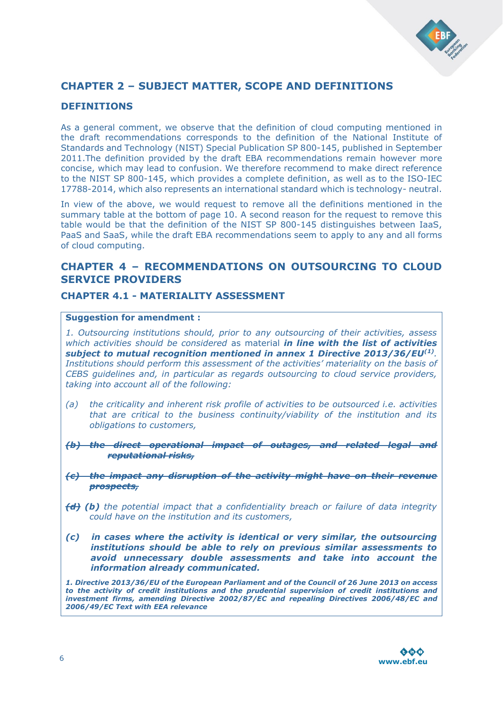

## **CHAPTER 2 – SUBJECT MATTER, SCOPE AND DEFINITIONS**

## **DEFINITIONS**

As a general comment, we observe that the definition of cloud computing mentioned in the draft recommendations corresponds to the definition of the National Institute of Standards and Technology (NIST) Special Publication SP 800-145, published in September 2011.The definition provided by the draft EBA recommendations remain however more concise, which may lead to confusion. We therefore recommend to make direct reference to the NIST SP 800-145, which provides a complete definition, as well as to the ISO-IEC 17788-2014, which also represents an international standard which is technology- neutral.

In view of the above, we would request to remove all the definitions mentioned in the summary table at the bottom of page 10. A second reason for the request to remove this table would be that the definition of the NIST SP 800-145 distinguishes between IaaS, PaaS and SaaS, while the draft EBA recommendations seem to apply to any and all forms of cloud computing.

## **CHAPTER 4 – RECOMMENDATIONS ON OUTSOURCING TO CLOUD SERVICE PROVIDERS**

## **CHAPTER 4.1 - MATERIALITY ASSESSMENT**

#### **Suggestion for amendment :**

*1. Outsourcing institutions should, prior to any outsourcing of their activities, assess which activities should be considered* as material *in line with the list of activities subject to mutual recognition mentioned in annex 1 Directive 2013/36/EU(1) . Institutions should perform this assessment of the activities' materiality on the basis of CEBS guidelines and, in particular as regards outsourcing to cloud service providers, taking into account all of the following:* 

- *(a) the criticality and inherent risk profile of activities to be outsourced i.e. activities that are critical to the business continuity/viability of the institution and its obligations to customers,*
- *(b) the direct operational impact of outages, and related legal and reputational risks,*
- *(c) the impact any disruption of the activity might have on their revenue prospects,*
- *(d) (b) the potential impact that a confidentiality breach or failure of data integrity could have on the institution and its customers,*
- *(c) in cases where the activity is identical or very similar, the outsourcing institutions should be able to rely on previous similar assessments to avoid unnecessary double assessments and take into account the information already communicated.*

*1. Directive 2013/36/EU of the European Parliament and of the Council of 26 June 2013 on access to the activity of credit institutions and the prudential supervision of credit institutions and investment firms, amending Directive 2002/87/EC and repealing Directives 2006/48/EC and 2006/49/EC Text with EEA relevance*

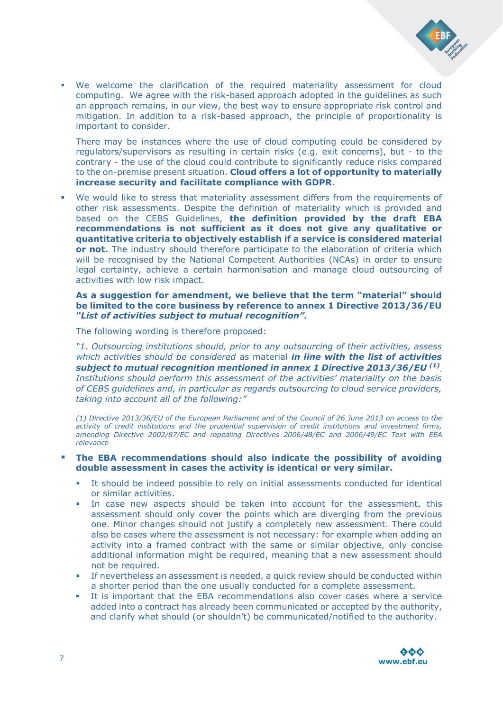

 We welcome the clarification of the required materiality assessment for cloud computing. We agree with the risk-based approach adopted in the guidelines as such an approach remains, in our view, the best way to ensure appropriate risk control and mitigation. In addition to a risk-based approach, the principle of proportionality is important to consider.

There may be instances where the use of cloud computing could be considered by regulators/supervisors as resulting in certain risks (e.g. exit concerns), but - to the contrary - the use of the cloud could contribute to significantly reduce risks compared to the on-premise present situation. **Cloud offers a lot of opportunity to materially increase security and facilitate compliance with GDPR**.

 We would like to stress that materiality assessment differs from the requirements of other risk assessments. Despite the definition of materiality which is provided and based on the CEBS Guidelines, **the definition provided by the draft EBA recommendations is not sufficient as it does not give any qualitative or quantitative criteria to objectively establish if a service is considered material or not.** The industry should therefore participate to the elaboration of criteria which will be recognised by the National Competent Authorities (NCAs) in order to ensure legal certainty, achieve a certain harmonisation and manage cloud outsourcing of activities with low risk impact.

#### **As a suggestion for amendment, we believe that the term "material" should be limited to the core business by reference to annex 1 Directive 2013/36/EU**  *"List of activities subject to mutual recognition".*

The following wording is therefore proposed:

*"1. Outsourcing institutions should, prior to any outsourcing of their activities, assess which activities should be considered* as material *in line with the list of activities subject to mutual recognition mentioned in annex 1 Directive 2013/36/EU (1) . Institutions should perform this assessment of the activities' materiality on the basis of CEBS guidelines and, in particular as regards outsourcing to cloud service providers, taking into account all of the following:"*

*(1) Directive 2013/36/EU of the European Parliament and of the Council of 26 June 2013 on access to the activity of credit institutions and the prudential supervision of credit institutions and investment firms, amending Directive 2002/87/EC and repealing Directives 2006/48/EC and 2006/49/EC Text with EEA relevance*

#### **The EBA recommendations should also indicate the possibility of avoiding double assessment in cases the activity is identical or very similar.**

- It should be indeed possible to rely on initial assessments conducted for identical or similar activities.
- In case new aspects should be taken into account for the assessment, this assessment should only cover the points which are diverging from the previous one. Minor changes should not justify a completely new assessment. There could also be cases where the assessment is not necessary: for example when adding an activity into a framed contract with the same or similar objective, only concise additional information might be required, meaning that a new assessment should not be required.
- If nevertheless an assessment is needed, a quick review should be conducted within a shorter period than the one usually conducted for a complete assessment.
- It is important that the EBA recommendations also cover cases where a service added into a contract has already been communicated or accepted by the authority, and clarify what should (or shouldn't) be communicated/notified to the authority.

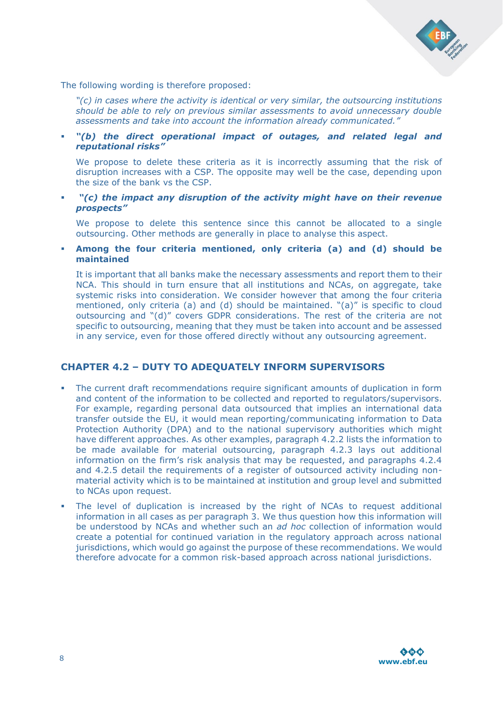

The following wording is therefore proposed:

*"(c) in cases where the activity is identical or very similar, the outsourcing institutions should be able to rely on previous similar assessments to avoid unnecessary double assessments and take into account the information already communicated."*

 *"(b) the direct operational impact of outages, and related legal and reputational risks"*

We propose to delete these criteria as it is incorrectly assuming that the risk of disruption increases with a CSP. The opposite may well be the case, depending upon the size of the bank vs the CSP.

 *"(c) the impact any disruption of the activity might have on their revenue prospects"*

We propose to delete this sentence since this cannot be allocated to a single outsourcing. Other methods are generally in place to analyse this aspect.

 **Among the four criteria mentioned, only criteria (a) and (d) should be maintained**

It is important that all banks make the necessary assessments and report them to their NCA. This should in turn ensure that all institutions and NCAs, on aggregate, take systemic risks into consideration. We consider however that among the four criteria mentioned, only criteria (a) and (d) should be maintained. "(a)" is specific to cloud outsourcing and "(d)" covers GDPR considerations. The rest of the criteria are not specific to outsourcing, meaning that they must be taken into account and be assessed in any service, even for those offered directly without any outsourcing agreement.

## **CHAPTER 4.2 – DUTY TO ADEQUATELY INFORM SUPERVISORS**

- The current draft recommendations require significant amounts of duplication in form and content of the information to be collected and reported to regulators/supervisors. For example, regarding personal data outsourced that implies an international data transfer outside the EU, it would mean reporting/communicating information to Data Protection Authority (DPA) and to the national supervisory authorities which might have different approaches. As other examples, paragraph 4.2.2 lists the information to be made available for material outsourcing, paragraph 4.2.3 lays out additional information on the firm's risk analysis that may be requested, and paragraphs 4.2.4 and 4.2.5 detail the requirements of a register of outsourced activity including nonmaterial activity which is to be maintained at institution and group level and submitted to NCAs upon request.
- The level of duplication is increased by the right of NCAs to request additional information in all cases as per paragraph 3. We thus question how this information will be understood by NCAs and whether such an *ad hoc* collection of information would create a potential for continued variation in the regulatory approach across national jurisdictions, which would go against the purpose of these recommendations. We would therefore advocate for a common risk-based approach across national jurisdictions.

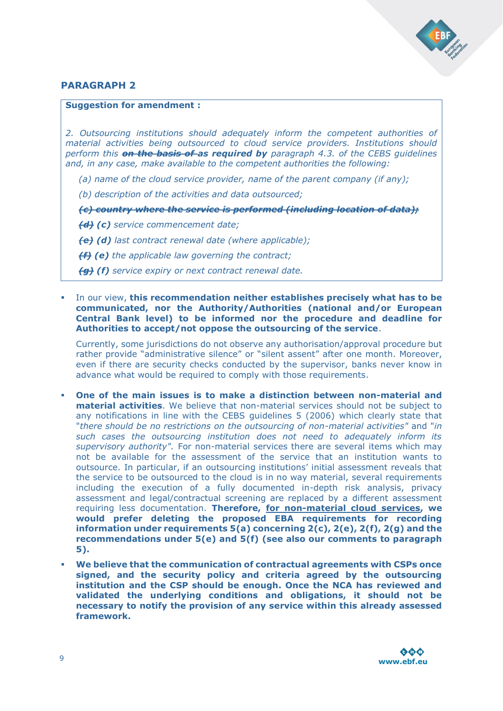

## **PARAGRAPH 2**

#### **Suggestion for amendment :**

*2. Outsourcing institutions should adequately inform the competent authorities of material activities being outsourced to cloud service providers. Institutions should perform this on the basis of as required by paragraph 4.3. of the CEBS guidelines and, in any case, make available to the competent authorities the following:* 

*(a) name of the cloud service provider, name of the parent company (if any);* 

*(b) description of the activities and data outsourced;* 

*(c) country where the service is performed (including location of data);* 

*(d) (c) service commencement date;* 

*(e) (d) last contract renewal date (where applicable);* 

*(f) (e) the applicable law governing the contract;* 

*(g) (f) service expiry or next contract renewal date.* 

 In our view, **this recommendation neither establishes precisely what has to be communicated, nor the Authority/Authorities (national and/or European Central Bank level) to be informed nor the procedure and deadline for Authorities to accept/not oppose the outsourcing of the service**.

Currently, some jurisdictions do not observe any authorisation/approval procedure but rather provide "administrative silence" or "silent assent" after one month. Moreover, even if there are security checks conducted by the supervisor, banks never know in advance what would be required to comply with those requirements.

- **One of the main issues is to make a distinction between non-material and material activities**. We believe that non-material services should not be subject to any notifications in line with the CEBS guidelines 5 (2006) which clearly state that "*there should be no restrictions on the outsourcing of non-material activities"* and "*in such cases the outsourcing institution does not need to adequately inform its supervisory authority".* For non-material services there are several items which may not be available for the assessment of the service that an institution wants to outsource. In particular, if an outsourcing institutions' initial assessment reveals that the service to be outsourced to the cloud is in no way material, several requirements including the execution of a fully documented in-depth risk analysis, privacy assessment and legal/contractual screening are replaced by a different assessment requiring less documentation. **Therefore, for non-material cloud services, we would prefer deleting the proposed EBA requirements for recording information under requirements 5(a) concerning 2(c), 2(e), 2(f), 2(g) and the recommendations under 5(e) and 5(f) (see also our comments to paragraph 5).**
- **We believe that the communication of contractual agreements with CSPs once signed, and the security policy and criteria agreed by the outsourcing institution and the CSP should be enough. Once the NCA has reviewed and validated the underlying conditions and obligations, it should not be necessary to notify the provision of any service within this already assessed framework.**

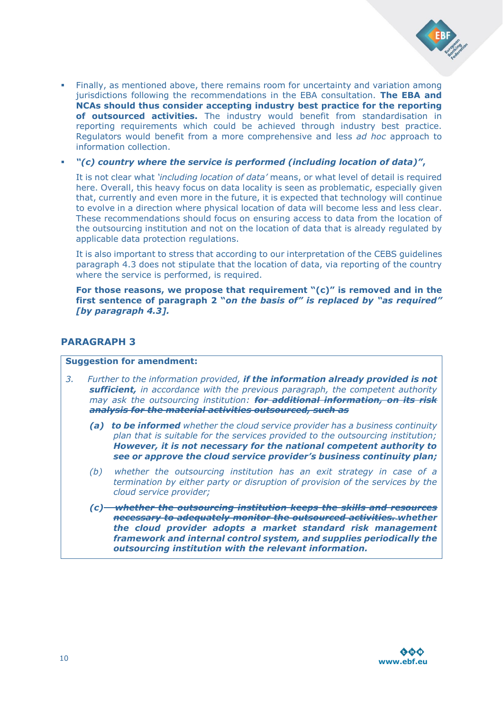

- Finally, as mentioned above, there remains room for uncertainty and variation among jurisdictions following the recommendations in the EBA consultation. **The EBA and NCAs should thus consider accepting industry best practice for the reporting of outsourced activities.** The industry would benefit from standardisation in reporting requirements which could be achieved through industry best practice. Regulators would benefit from a more comprehensive and less *ad hoc* approach to information collection.
- *"(c) country where the service is performed (including location of data)"***,**

It is not clear what *'including location of data'* means, or what level of detail is required here. Overall, this heavy focus on data locality is seen as problematic, especially given that, currently and even more in the future, it is expected that technology will continue to evolve in a direction where physical location of data will become less and less clear. These recommendations should focus on ensuring access to data from the location of the outsourcing institution and not on the location of data that is already regulated by applicable data protection regulations.

It is also important to stress that according to our interpretation of the CEBS guidelines paragraph 4.3 does not stipulate that the location of data, via reporting of the country where the service is performed, is required.

**For those reasons, we propose that requirement "(c)" is removed and in the first sentence of paragraph 2 "***on the basis of" is replaced by "as required" [by paragraph 4.3].*

## **PARAGRAPH 3**

#### **Suggestion for amendment:**

- *3. Further to the information provided, if the information already provided is not sufficient, in accordance with the previous paragraph, the competent authority may ask the outsourcing institution: for additional information, on its risk analysis for the material activities outsourced, such as*
	- *(a) to be informed whether the cloud service provider has a business continuity plan that is suitable for the services provided to the outsourcing institution; However, it is not necessary for the national competent authority to see or approve the cloud service provider's business continuity plan;*
	- *(b) whether the outsourcing institution has an exit strategy in case of a termination by either party or disruption of provision of the services by the cloud service provider;*
	- *(c) whether the outsourcing institution keeps the skills and resources necessary to adequately monitor the outsourced activities. whether the cloud provider adopts a market standard risk management framework and internal control system, and supplies periodically the outsourcing institution with the relevant information.*

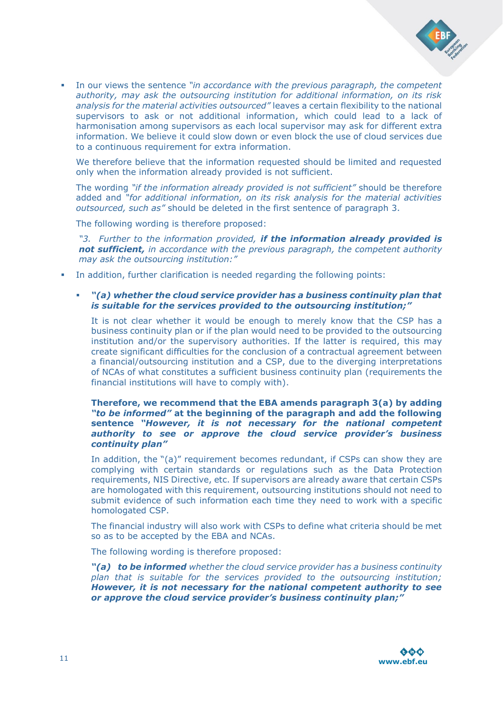

 In our views the sentence *"in accordance with the previous paragraph, the competent authority, may ask the outsourcing institution for additional information, on its risk analysis for the material activities outsourced"* leaves a certain flexibility to the national supervisors to ask or not additional information, which could lead to a lack of harmonisation among supervisors as each local supervisor may ask for different extra information. We believe it could slow down or even block the use of cloud services due to a continuous requirement for extra information.

We therefore believe that the information requested should be limited and requested only when the information already provided is not sufficient.

The wording *"if the information already provided is not sufficient"* should be therefore added and *"for additional information, on its risk analysis for the material activities outsourced, such as"* should be deleted in the first sentence of paragraph 3.

The following wording is therefore proposed:

*"3. Further to the information provided, if the information already provided is not sufficient, in accordance with the previous paragraph, the competent authority may ask the outsourcing institution:"* 

In addition, further clarification is needed regarding the following points:

#### *"(a) whether the cloud service provider has a business continuity plan that is suitable for the services provided to the outsourcing institution;"*

It is not clear whether it would be enough to merely know that the CSP has a business continuity plan or if the plan would need to be provided to the outsourcing institution and/or the supervisory authorities. If the latter is required, this may create significant difficulties for the conclusion of a contractual agreement between a financial/outsourcing institution and a CSP, due to the diverging interpretations of NCAs of what constitutes a sufficient business continuity plan (requirements the financial institutions will have to comply with).

#### **Therefore, we recommend that the EBA amends paragraph 3(a) by adding**  *"to be informed"* **at the beginning of the paragraph and add the following sentence** *"However, it is not necessary for the national competent authority to see or approve the cloud service provider's business continuity plan"*

In addition, the "(a)" requirement becomes redundant, if CSPs can show they are complying with certain standards or regulations such as the Data Protection requirements, NIS Directive, etc. If supervisors are already aware that certain CSPs are homologated with this requirement, outsourcing institutions should not need to submit evidence of such information each time they need to work with a specific homologated CSP.

The financial industry will also work with CSPs to define what criteria should be met so as to be accepted by the EBA and NCAs.

The following wording is therefore proposed:

*"(a) to be informed whether the cloud service provider has a business continuity plan that is suitable for the services provided to the outsourcing institution; However, it is not necessary for the national competent authority to see or approve the cloud service provider's business continuity plan;"*

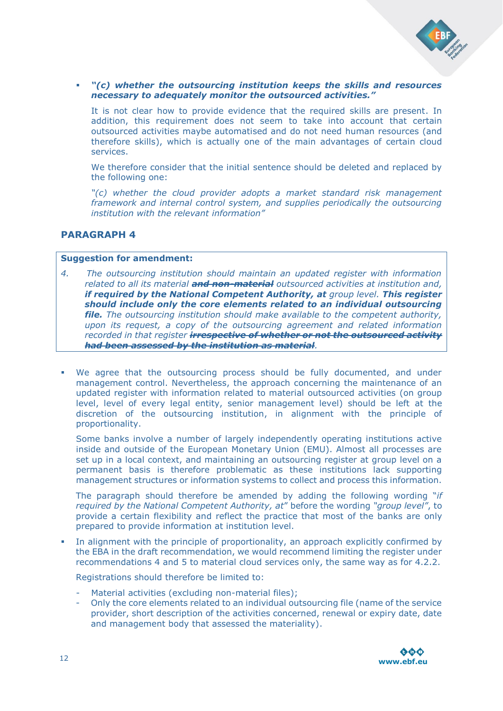

 *"(c) whether the outsourcing institution keeps the skills and resources necessary to adequately monitor the outsourced activities."*

It is not clear how to provide evidence that the required skills are present. In addition, this requirement does not seem to take into account that certain outsourced activities maybe automatised and do not need human resources (and therefore skills), which is actually one of the main advantages of certain cloud services.

We therefore consider that the initial sentence should be deleted and replaced by the following one:

*"(c) whether the cloud provider adopts a market standard risk management framework and internal control system, and supplies periodically the outsourcing institution with the relevant information"*

#### **PARAGRAPH 4**

#### **Suggestion for amendment:**

- *4. The outsourcing institution should maintain an updated register with information related to all its material and non-material outsourced activities at institution and, if required by the National Competent Authority, at group level. This register should include only the core elements related to an individual outsourcing file. The outsourcing institution should make available to the competent authority, upon its request, a copy of the outsourcing agreement and related information recorded in that register irrespective of whether or not the outsourced activity had been assessed by the institution as material.*
- We agree that the outsourcing process should be fully documented, and under management control. Nevertheless, the approach concerning the maintenance of an updated register with information related to material outsourced activities (on group level, level of every legal entity, senior management level) should be left at the discretion of the outsourcing institution, in alignment with the principle of proportionality.

Some banks involve a number of largely independently operating institutions active inside and outside of the European Monetary Union (EMU). Almost all processes are set up in a local context, and maintaining an outsourcing register at group level on a permanent basis is therefore problematic as these institutions lack supporting management structures or information systems to collect and process this information.

The paragraph should therefore be amended by adding the following wording "*if required by the National Competent Authority, at*" before the wording *"group level"*, to provide a certain flexibility and reflect the practice that most of the banks are only prepared to provide information at institution level.

 In alignment with the principle of proportionality, an approach explicitly confirmed by the EBA in the draft recommendation, we would recommend limiting the register under recommendations 4 and 5 to material cloud services only, the same way as for 4.2.2.

Registrations should therefore be limited to:

- Material activities (excluding non-material files);
- Only the core elements related to an individual outsourcing file (name of the service provider, short description of the activities concerned, renewal or expiry date, date and management body that assessed the materiality).

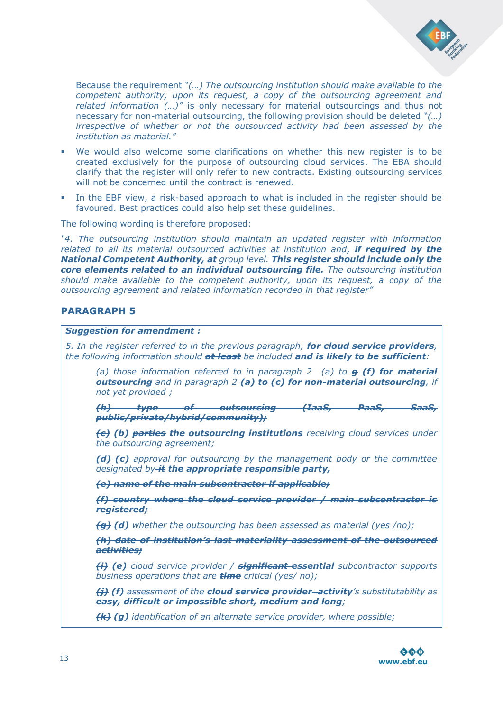

Because the requirement *"(…) The outsourcing institution should make available to the competent authority, upon its request, a copy of the outsourcing agreement and related information (…)"* is only necessary for material outsourcings and thus not necessary for non-material outsourcing, the following provision should be deleted *"(…) irrespective of whether or not the outsourced activity had been assessed by the institution as material."*

- We would also welcome some clarifications on whether this new register is to be created exclusively for the purpose of outsourcing cloud services. The EBA should clarify that the register will only refer to new contracts. Existing outsourcing services will not be concerned until the contract is renewed.
- In the EBF view, a risk-based approach to what is included in the register should be favoured. Best practices could also help set these guidelines.

The following wording is therefore proposed:

*"4. The outsourcing institution should maintain an updated register with information related to all its material outsourced activities at institution and, if required by the National Competent Authority, at group level. This register should include only the core elements related to an individual outsourcing file. The outsourcing institution should make available to the competent authority, upon its request, a copy of the outsourcing agreement and related information recorded in that register"*

## **PARAGRAPH 5**

#### *Suggestion for amendment :*

*5. In the register referred to in the previous paragraph, for cloud service providers, the following information should at least be included and is likely to be sufficient:*

*(a) those information referred to in paragraph 2 (a) to g (f) for material outsourcing and in paragraph 2 (a) to (c) for non-material outsourcing, if not yet provided ;*

*(b) type of outsourcing (IaaS, PaaS, SaaS, public/private/hybrid/community);*

*(c) (b) parties the outsourcing institutions receiving cloud services under the outsourcing agreement;*

*(d) (c) approval for outsourcing by the management body or the committee designated by it the appropriate responsible party,* 

*(e) name of the main subcontractor if applicable;*

*(f) country where the cloud service provider / main subcontractor is registered;*

*(g) (d) whether the outsourcing has been assessed as material (yes /no);*

*(h) date of institution's last materiality assessment of the outsourced activities;*

*(i) (e) cloud service provider / significant essential subcontractor supports business operations that are time critical (yes/ no);*

*(j) (f) assessment of the cloud service provider activity's substitutability as easy, difficult or impossible short, medium and long;*

*(k) (g) identification of an alternate service provider, where possible;*

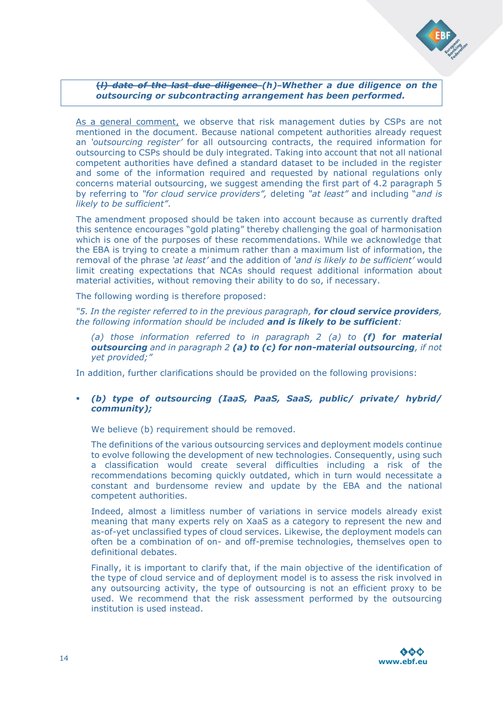

**(***l) date of the last due diligence (h) Whether a due diligence on the outsourcing or subcontracting arrangement has been performed.*

As a general comment, we observe that risk management duties by CSPs are not mentioned in the document. Because national competent authorities already request an *'outsourcing register'* for all outsourcing contracts, the required information for outsourcing to CSPs should be duly integrated. Taking into account that not all national competent authorities have defined a standard dataset to be included in the register and some of the information required and requested by national regulations only concerns material outsourcing, we suggest amending the first part of 4.2 paragraph 5 by referring to *"for cloud service providers",* deleting *"at least"* and including "*and is likely to be sufficient"*.

The amendment proposed should be taken into account because as currently drafted this sentence encourages "gold plating" thereby challenging the goal of harmonisation which is one of the purposes of these recommendations. While we acknowledge that the EBA is trying to create a minimum rather than a maximum list of information, the removal of the phrase *'at least'* and the addition of *'and is likely to be sufficient'* would limit creating expectations that NCAs should request additional information about material activities, without removing their ability to do so, if necessary.

The following wording is therefore proposed:

*"5. In the register referred to in the previous paragraph, for cloud service providers, the following information should be included and is likely to be sufficient:*

*(a) those information referred to in paragraph 2 (a) to (f) for material outsourcing and in paragraph 2 (a) to (c) for non-material outsourcing, if not yet provided;"*

In addition, further clarifications should be provided on the following provisions:

#### *(b) type of outsourcing (IaaS, PaaS, SaaS, public/ private/ hybrid/ community);*

We believe (b) requirement should be removed.

The definitions of the various outsourcing services and deployment models continue to evolve following the development of new technologies. Consequently, using such a classification would create several difficulties including a risk of the recommendations becoming quickly outdated, which in turn would necessitate a constant and burdensome review and update by the EBA and the national competent authorities.

Indeed, almost a limitless number of variations in service models already exist meaning that many experts rely on XaaS as a category to represent the new and as-of-yet unclassified types of cloud services. Likewise, the deployment models can often be a combination of on- and off-premise technologies, themselves open to definitional debates.

Finally, it is important to clarify that, if the main objective of the identification of the type of cloud service and of deployment model is to assess the risk involved in any outsourcing activity, the type of outsourcing is not an efficient proxy to be used. We recommend that the risk assessment performed by the outsourcing institution is used instead.

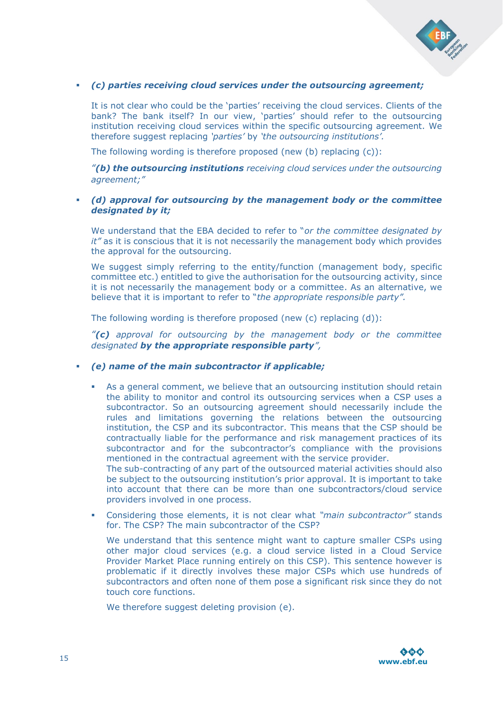

#### *(c) parties receiving cloud services under the outsourcing agreement;*

It is not clear who could be the 'parties' receiving the cloud services. Clients of the bank? The bank itself? In our view, 'parties' should refer to the outsourcing institution receiving cloud services within the specific outsourcing agreement. We therefore suggest replacing *'parties'* by *'the outsourcing institutions'.*

The following wording is therefore proposed (new (b) replacing (c)):

*"(b) the outsourcing institutions receiving cloud services under the outsourcing agreement;"*

#### *(d) approval for outsourcing by the management body or the committee designated by it;*

We understand that the EBA decided to refer to "*or the committee designated by it"* as it is conscious that it is not necessarily the management body which provides the approval for the outsourcing.

We suggest simply referring to the entity/function (management body, specific committee etc.) entitled to give the authorisation for the outsourcing activity, since it is not necessarily the management body or a committee. As an alternative, we believe that it is important to refer to "*the appropriate responsible party".*

The following wording is therefore proposed (new (c) replacing (d)):

*"(c) approval for outsourcing by the management body or the committee designated by the appropriate responsible party",*

- *(e) name of the main subcontractor if applicable;*
	- As a general comment, we believe that an outsourcing institution should retain the ability to monitor and control its outsourcing services when a CSP uses a subcontractor. So an outsourcing agreement should necessarily include the rules and limitations governing the relations between the outsourcing institution, the CSP and its subcontractor. This means that the CSP should be contractually liable for the performance and risk management practices of its subcontractor and for the subcontractor's compliance with the provisions mentioned in the contractual agreement with the service provider.

The sub-contracting of any part of the outsourced material activities should also be subject to the outsourcing institution's prior approval. It is important to take into account that there can be more than one subcontractors/cloud service providers involved in one process.

 Considering those elements, it is not clear what *"main subcontractor"* stands for. The CSP? The main subcontractor of the CSP?

We understand that this sentence might want to capture smaller CSPs using other major cloud services (e.g. a cloud service listed in a Cloud Service Provider Market Place running entirely on this CSP). This sentence however is problematic if it directly involves these major CSPs which use hundreds of subcontractors and often none of them pose a significant risk since they do not touch core functions.

We therefore suggest deleting provision (e).

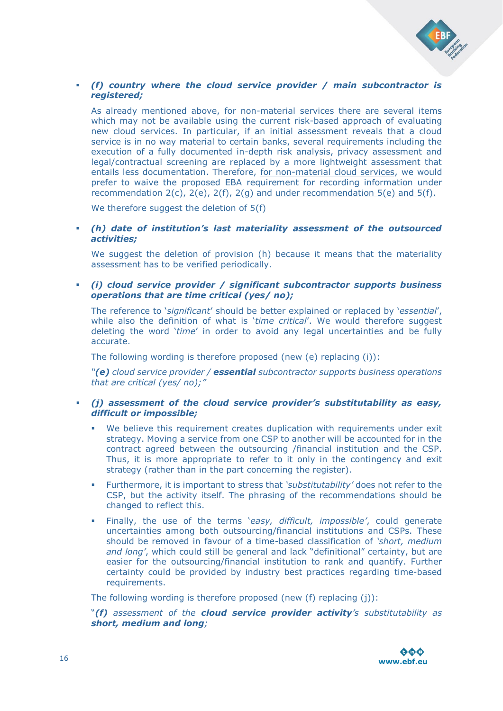

#### *(f) country where the cloud service provider / main subcontractor is registered;*

As already mentioned above, for non-material services there are several items which may not be available using the current risk-based approach of evaluating new cloud services. In particular, if an initial assessment reveals that a cloud service is in no way material to certain banks, several requirements including the execution of a fully documented in-depth risk analysis, privacy assessment and legal/contractual screening are replaced by a more lightweight assessment that entails less documentation. Therefore, for non-material cloud services, we would prefer to waive the proposed EBA requirement for recording information under recommendation  $2(c)$ ,  $2(e)$ ,  $2(f)$ ,  $2(g)$  and under recommendation  $5(e)$  and  $5(f)$ .

We therefore suggest the deletion of 5(f)

 *(h) date of institution's last materiality assessment of the outsourced activities;* 

We suggest the deletion of provision (h) because it means that the materiality assessment has to be verified periodically.

 *(i) cloud service provider / significant subcontractor supports business operations that are time critical (yes/ no);* 

The reference to '*significant*' should be better explained or replaced by '*essential*', while also the definition of what is '*time critical*'. We would therefore suggest deleting the word '*time*' in order to avoid any legal uncertainties and be fully accurate.

The following wording is therefore proposed (new (e) replacing (i)):

*"(e) cloud service provider / essential subcontractor supports business operations that are critical (yes/ no);"*

- *(j) assessment of the cloud service provider's substitutability as easy, difficult or impossible;* 
	- We believe this requirement creates duplication with requirements under exit strategy. Moving a service from one CSP to another will be accounted for in the contract agreed between the outsourcing /financial institution and the CSP. Thus, it is more appropriate to refer to it only in the contingency and exit strategy (rather than in the part concerning the register).
	- Furthermore, it is important to stress that *'substitutability'* does not refer to the CSP, but the activity itself. The phrasing of the recommendations should be changed to reflect this.
	- Finally, the use of the terms '*easy, difficult, impossible'*, could generate uncertainties among both outsourcing/financial institutions and CSPs. These should be removed in favour of a time-based classification of *'short, medium and long'*, which could still be general and lack "definitional" certainty, but are easier for the outsourcing/financial institution to rank and quantify. Further certainty could be provided by industry best practices regarding time-based requirements.

The following wording is therefore proposed (new (f) replacing (j)):

"*(f) assessment of the cloud service provider activity's substitutability as short, medium and long;*

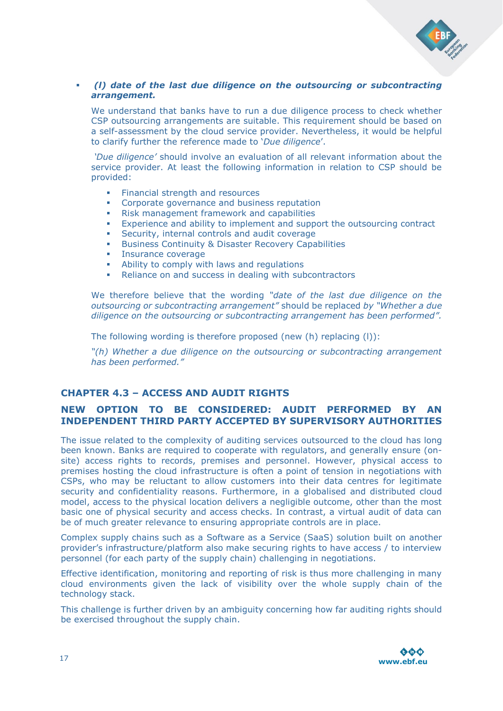

#### *(l) date of the last due diligence on the outsourcing or subcontracting arrangement.*

We understand that banks have to run a due diligence process to check whether CSP outsourcing arrangements are suitable. This requirement should be based on a self-assessment by the cloud service provider. Nevertheless, it would be helpful to clarify further the reference made to '*Due diligence*'.

*'Due diligence'* should involve an evaluation of all relevant information about the service provider. At least the following information in relation to CSP should be provided:

- Financial strength and resources
- **Corporate governance and business reputation**
- Risk management framework and capabilities
- Experience and ability to implement and support the outsourcing contract
- Security, internal controls and audit coverage
- **Business Continuity & Disaster Recovery Capabilities**
- **Insurance coverage**
- Ability to comply with laws and regulations
- Reliance on and success in dealing with subcontractors

We therefore believe that the wording *"date of the last due diligence on the outsourcing or subcontracting arrangement"* should be replaced *by "Whether a due diligence on the outsourcing or subcontracting arrangement has been performed".*

The following wording is therefore proposed (new (h) replacing (l)):

*"(h) Whether a due diligence on the outsourcing or subcontracting arrangement has been performed."*

## **CHAPTER 4.3 – ACCESS AND AUDIT RIGHTS**

## **NEW OPTION TO BE CONSIDERED: AUDIT PERFORMED BY AN INDEPENDENT THIRD PARTY ACCEPTED BY SUPERVISORY AUTHORITIES**

The issue related to the complexity of auditing services outsourced to the cloud has long been known. Banks are required to cooperate with regulators, and generally ensure (onsite) access rights to records, premises and personnel. However, physical access to premises hosting the cloud infrastructure is often a point of tension in negotiations with CSPs, who may be reluctant to allow customers into their data centres for legitimate security and confidentiality reasons. Furthermore, in a globalised and distributed cloud model, access to the physical location delivers a negligible outcome, other than the most basic one of physical security and access checks. In contrast, a virtual audit of data can be of much greater relevance to ensuring appropriate controls are in place.

Complex supply chains such as a Software as a Service (SaaS) solution built on another provider's infrastructure/platform also make securing rights to have access / to interview personnel (for each party of the supply chain) challenging in negotiations.

Effective identification, monitoring and reporting of risk is thus more challenging in many cloud environments given the lack of visibility over the whole supply chain of the technology stack.

This challenge is further driven by an ambiguity concerning how far auditing rights should be exercised throughout the supply chain.

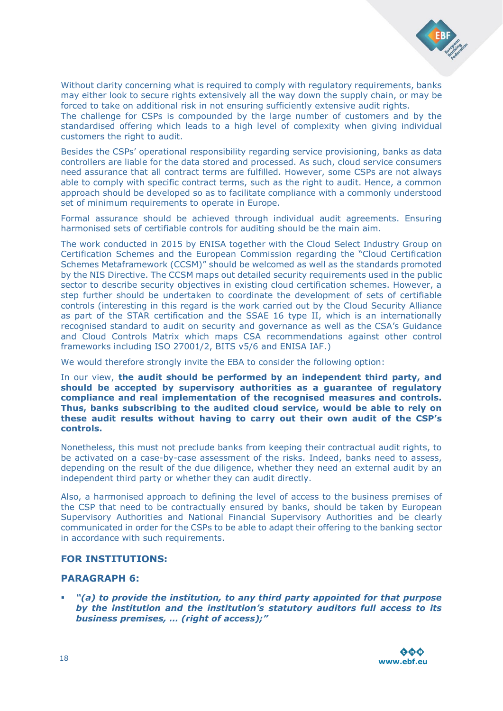

Without clarity concerning what is required to comply with regulatory requirements, banks may either look to secure rights extensively all the way down the supply chain, or may be forced to take on additional risk in not ensuring sufficiently extensive audit rights. The challenge for CSPs is compounded by the large number of customers and by the standardised offering which leads to a high level of complexity when giving individual customers the right to audit.

Besides the CSPs' operational responsibility regarding service provisioning, banks as data controllers are liable for the data stored and processed. As such, cloud service consumers need assurance that all contract terms are fulfilled. However, some CSPs are not always able to comply with specific contract terms, such as the right to audit. Hence, a common approach should be developed so as to facilitate compliance with a commonly understood set of minimum requirements to operate in Europe.

Formal assurance should be achieved through individual audit agreements. Ensuring harmonised sets of certifiable controls for auditing should be the main aim.

The work conducted in 2015 by ENISA together with the Cloud Select Industry Group on Certification Schemes and the European Commission regarding the "Cloud Certification Schemes Metaframework (CCSM)" should be welcomed as well as the standards promoted by the NIS Directive. The CCSM maps out detailed security requirements used in the public sector to describe security objectives in existing cloud certification schemes. However, a step further should be undertaken to coordinate the development of sets of certifiable controls (interesting in this regard is the work carried out by the Cloud Security Alliance as part of the STAR certification and the SSAE 16 type II, which is an internationally recognised standard to audit on security and governance as well as the CSA's Guidance and Cloud Controls Matrix which maps CSA recommendations against other control frameworks including ISO 27001/2, BITS v5/6 and ENISA IAF.)

We would therefore strongly invite the EBA to consider the following option:

In our view, **the audit should be performed by an independent third party, and should be accepted by supervisory authorities as a guarantee of regulatory compliance and real implementation of the recognised measures and controls. Thus, banks subscribing to the audited cloud service, would be able to rely on these audit results without having to carry out their own audit of the CSP's controls.**

Nonetheless, this must not preclude banks from keeping their contractual audit rights, to be activated on a case-by-case assessment of the risks. Indeed, banks need to assess, depending on the result of the due diligence, whether they need an external audit by an independent third party or whether they can audit directly.

Also, a harmonised approach to defining the level of access to the business premises of the CSP that need to be contractually ensured by banks, should be taken by European Supervisory Authorities and National Financial Supervisory Authorities and be clearly communicated in order for the CSPs to be able to adapt their offering to the banking sector in accordance with such requirements.

#### **FOR INSTITUTIONS:**

#### **PARAGRAPH 6:**

 *"(a) to provide the institution, to any third party appointed for that purpose by the institution and the institution's statutory auditors full access to its business premises, … (right of access);"*

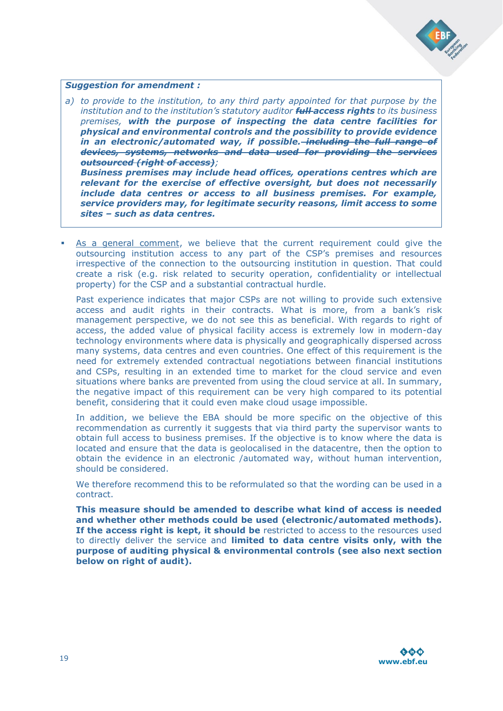

#### *Suggestion for amendment :*

*a) to provide to the institution, to any third party appointed for that purpose by the institution and to the institution's statutory auditor full access rights to its business premises, with the purpose of inspecting the data centre facilities for physical and environmental controls and the possibility to provide evidence in an electronic/automated way, if possible. including the full range of devices, systems, networks and data used for providing the services outsourced (right of access);*

*Business premises may include head offices, operations centres which are relevant for the exercise of effective oversight, but does not necessarily include data centres or access to all business premises. For example, service providers may, for legitimate security reasons, limit access to some sites – such as data centres.*

 As a general comment, we believe that the current requirement could give the outsourcing institution access to any part of the CSP's premises and resources irrespective of the connection to the outsourcing institution in question. That could create a risk (e.g. risk related to security operation, confidentiality or intellectual property) for the CSP and a substantial contractual hurdle.

Past experience indicates that major CSPs are not willing to provide such extensive access and audit rights in their contracts. What is more, from a bank's risk management perspective, we do not see this as beneficial. With regards to right of access, the added value of physical facility access is extremely low in modern-day technology environments where data is physically and geographically dispersed across many systems, data centres and even countries. One effect of this requirement is the need for extremely extended contractual negotiations between financial institutions and CSPs, resulting in an extended time to market for the cloud service and even situations where banks are prevented from using the cloud service at all. In summary, the negative impact of this requirement can be very high compared to its potential benefit, considering that it could even make cloud usage impossible.

In addition, we believe the EBA should be more specific on the objective of this recommendation as currently it suggests that via third party the supervisor wants to obtain full access to business premises. If the objective is to know where the data is located and ensure that the data is geolocalised in the datacentre, then the option to obtain the evidence in an electronic /automated way, without human intervention, should be considered.

We therefore recommend this to be reformulated so that the wording can be used in a contract.

**This measure should be amended to describe what kind of access is needed and whether other methods could be used (electronic/automated methods). If the access right is kept, it should be** restricted to access to the resources used to directly deliver the service and **limited to data centre visits only, with the purpose of auditing physical & environmental controls (see also next section below on right of audit).**

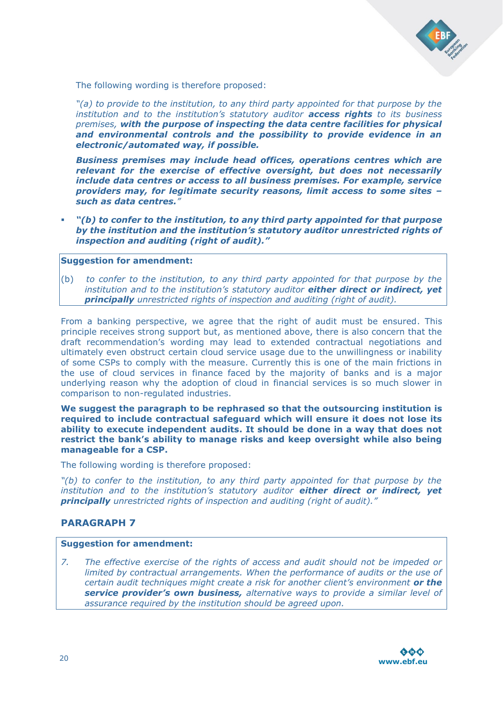

The following wording is therefore proposed:

*"(a) to provide to the institution, to any third party appointed for that purpose by the institution and to the institution's statutory auditor access rights to its business premises, with the purpose of inspecting the data centre facilities for physical and environmental controls and the possibility to provide evidence in an electronic/automated way, if possible.*

*Business premises may include head offices, operations centres which are relevant for the exercise of effective oversight, but does not necessarily include data centres or access to all business premises. For example, service providers may, for legitimate security reasons, limit access to some sites – such as data centres."*

 *"(b) to confer to the institution, to any third party appointed for that purpose by the institution and the institution's statutory auditor unrestricted rights of inspection and auditing (right of audit)."*

#### **Suggestion for amendment:**

(b) *to confer to the institution, to any third party appointed for that purpose by the institution and to the institution's statutory auditor either direct or indirect, yet principally unrestricted rights of inspection and auditing (right of audit).*

From a banking perspective, we agree that the right of audit must be ensured. This principle receives strong support but, as mentioned above, there is also concern that the draft recommendation's wording may lead to extended contractual negotiations and ultimately even obstruct certain cloud service usage due to the unwillingness or inability of some CSPs to comply with the measure. Currently this is one of the main frictions in the use of cloud services in finance faced by the majority of banks and is a major underlying reason why the adoption of cloud in financial services is so much slower in comparison to non-regulated industries.

**We suggest the paragraph to be rephrased so that the outsourcing institution is required to include contractual safeguard which will ensure it does not lose its ability to execute independent audits. It should be done in a way that does not restrict the bank's ability to manage risks and keep oversight while also being manageable for a CSP.** 

The following wording is therefore proposed:

*"(b) to confer to the institution, to any third party appointed for that purpose by the institution and to the institution's statutory auditor either direct or indirect, yet principally unrestricted rights of inspection and auditing (right of audit)."*

## **PARAGRAPH 7**

#### **Suggestion for amendment:**

*7. The effective exercise of the rights of access and audit should not be impeded or limited by contractual arrangements. When the performance of audits or the use of certain audit techniques might create a risk for another client's environment or the service provider's own business, alternative ways to provide a similar level of assurance required by the institution should be agreed upon.*

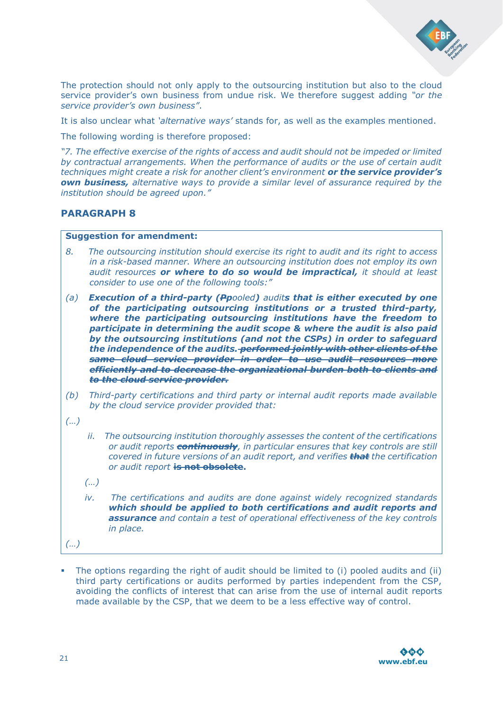

The protection should not only apply to the outsourcing institution but also to the cloud service provider's own business from undue risk. We therefore suggest adding *"or the service provider's own business"*.

It is also unclear what *'alternative ways'* stands for, as well as the examples mentioned.

The following wording is therefore proposed:

*"7. The effective exercise of the rights of access and audit should not be impeded or limited by contractual arrangements. When the performance of audits or the use of certain audit techniques might create a risk for another client's environment or the service provider's own business, alternative ways to provide a similar level of assurance required by the institution should be agreed upon."*

#### **PARAGRAPH 8**

#### **Suggestion for amendment:**

- *8. The outsourcing institution should exercise its right to audit and its right to access in a risk-based manner. Where an outsourcing institution does not employ its own audit resources or where to do so would be impractical, it should at least consider to use one of the following tools:"*
- *(a) Execution of a third-party (Ppooled) audits that is either executed by one of the participating outsourcing institutions or a trusted third-party, where the participating outsourcing institutions have the freedom to participate in determining the audit scope & where the audit is also paid by the outsourcing institutions (and not the CSPs) in order to safeguard the independence of the audits. performed jointly with other clients of the same cloud service provider in order to use audit resources more efficiently and to decrease the organizational burden both to clients and to the cloud service provider.*
- *(b) Third-party certifications and third party or internal audit reports made available by the cloud service provider provided that:*
- *(…)*
- *ii. The outsourcing institution thoroughly assesses the content of the certifications or audit reports continuously, in particular ensures that key controls are still covered in future versions of an audit report, and verifies that the certification or audit report* **is not obsolete.**
- *(…)*
- *iv. The certifications and audits are done against widely recognized standards which should be applied to both certifications and audit reports and assurance and contain a test of operational effectiveness of the key controls in place.*
- *(…)*
- The options regarding the right of audit should be limited to (i) pooled audits and (ii) third party certifications or audits performed by parties independent from the CSP, avoiding the conflicts of interest that can arise from the use of internal audit reports made available by the CSP, that we deem to be a less effective way of control.

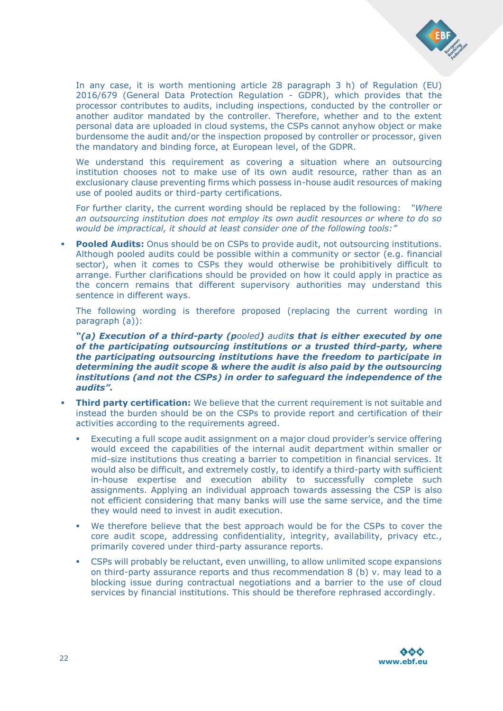

In any case, it is worth mentioning article 28 paragraph 3 h) of Regulation (EU) 2016/679 (General Data Protection Regulation - GDPR), which provides that the processor contributes to audits, including inspections, conducted by the controller or another auditor mandated by the controller. Therefore, whether and to the extent personal data are uploaded in cloud systems, the CSPs cannot anyhow object or make burdensome the audit and/or the inspection proposed by controller or processor, given the mandatory and binding force, at European level, of the GDPR.

We understand this requirement as covering a situation where an outsourcing institution chooses not to make use of its own audit resource, rather than as an exclusionary clause preventing firms which possess in-house audit resources of making use of pooled audits or third-party certifications.

For further clarity, the current wording should be replaced by the following: *"Where an outsourcing institution does not employ its own audit resources or where to do so would be impractical, it should at least consider one of the following tools:"*

**Pooled Audits:** Onus should be on CSPs to provide audit, not outsourcing institutions. Although pooled audits could be possible within a community or sector (e.g. financial sector), when it comes to CSPs they would otherwise be prohibitively difficult to arrange. Further clarifications should be provided on how it could apply in practice as the concern remains that different supervisory authorities may understand this sentence in different ways.

The following wording is therefore proposed (replacing the current wording in paragraph (a)):

*"(a) Execution of a third-party (pooled) audits that is either executed by one of the participating outsourcing institutions or a trusted third-party, where the participating outsourcing institutions have the freedom to participate in determining the audit scope & where the audit is also paid by the outsourcing institutions (and not the CSPs) in order to safeguard the independence of the audits".*

- **Third party certification:** We believe that the current requirement is not suitable and instead the burden should be on the CSPs to provide report and certification of their activities according to the requirements agreed.
	- Executing a full scope audit assignment on a major cloud provider's service offering would exceed the capabilities of the internal audit department within smaller or mid-size institutions thus creating a barrier to competition in financial services. It would also be difficult, and extremely costly, to identify a third-party with sufficient in-house expertise and execution ability to successfully complete such assignments. Applying an individual approach towards assessing the CSP is also not efficient considering that many banks will use the same service, and the time they would need to invest in audit execution.
	- We therefore believe that the best approach would be for the CSPs to cover the core audit scope, addressing confidentiality, integrity, availability, privacy etc., primarily covered under third-party assurance reports.
	- CSPs will probably be reluctant, even unwilling, to allow unlimited scope expansions on third-party assurance reports and thus recommendation 8 (b) v. may lead to a blocking issue during contractual negotiations and a barrier to the use of cloud services by financial institutions. This should be therefore rephrased accordingly.

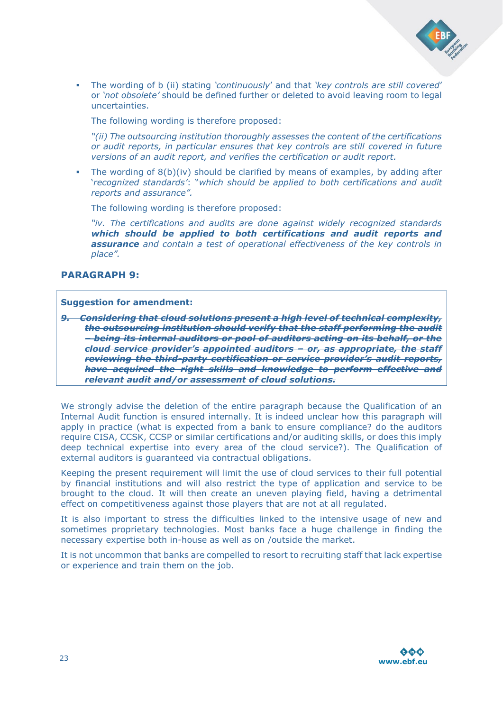

 The wording of b (ii) stating *'continuously*' and that *'key controls are still covered*' or *'not obsolete'* should be defined further or deleted to avoid leaving room to legal uncertainties.

The following wording is therefore proposed:

*"(ii) The outsourcing institution thoroughly assesses the content of the certifications or audit reports, in particular ensures that key controls are still covered in future versions of an audit report, and verifies the certification or audit report.*

 The wording of 8(b)(iv) should be clarified by means of examples, by adding after '*recognized standards'*: "*which should be applied to both certifications and audit reports and assurance".*

The following wording is therefore proposed:

*"iv. The certifications and audits are done against widely recognized standards which should be applied to both certifications and audit reports and assurance and contain a test of operational effectiveness of the key controls in place".*

## **PARAGRAPH 9:**

#### **Suggestion for amendment:**

*9. Considering that cloud solutions present a high level of technical complexity, the outsourcing institution should verify that the staff performing the audit – being its internal auditors or pool of auditors acting on its behalf, or the cloud service provider's appointed auditors – or, as appropriate, the staff reviewing the third-party certification or service provider's audit reports, have acquired the right skills and knowledge to perform effective and relevant audit and/or assessment of cloud solutions.*

We strongly advise the deletion of the entire paragraph because the Qualification of an Internal Audit function is ensured internally. It is indeed unclear how this paragraph will apply in practice (what is expected from a bank to ensure compliance? do the auditors require CISA, CCSK, CCSP or similar certifications and/or auditing skills, or does this imply deep technical expertise into every area of the cloud service?). The Qualification of external auditors is guaranteed via contractual obligations.

Keeping the present requirement will limit the use of cloud services to their full potential by financial institutions and will also restrict the type of application and service to be brought to the cloud. It will then create an uneven playing field, having a detrimental effect on competitiveness against those players that are not at all regulated.

It is also important to stress the difficulties linked to the intensive usage of new and sometimes proprietary technologies. Most banks face a huge challenge in finding the necessary expertise both in-house as well as on /outside the market.

It is not uncommon that banks are compelled to resort to recruiting staff that lack expertise or experience and train them on the job.

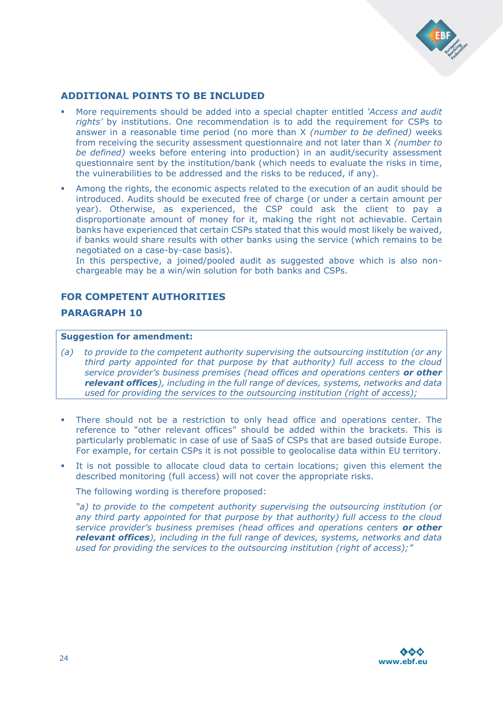

## **ADDITIONAL POINTS TO BE INCLUDED**

- More requirements should be added into a special chapter entitled *'Access and audit rights'* by institutions. One recommendation is to add the requirement for CSPs to answer in a reasonable time period (no more than X *(number to be defined)* weeks from receiving the security assessment questionnaire and not later than X *(number to be defined*) weeks before entering into production) in an audit/security assessment questionnaire sent by the institution/bank (which needs to evaluate the risks in time, the vulnerabilities to be addressed and the risks to be reduced, if any).
- Among the rights, the economic aspects related to the execution of an audit should be introduced. Audits should be executed free of charge (or under a certain amount per year). Otherwise, as experienced, the CSP could ask the client to pay a disproportionate amount of money for it, making the right not achievable. Certain banks have experienced that certain CSPs stated that this would most likely be waived, if banks would share results with other banks using the service (which remains to be negotiated on a case-by-case basis).

In this perspective, a joined/pooled audit as suggested above which is also nonchargeable may be a win/win solution for both banks and CSPs.

#### **FOR COMPETENT AUTHORITIES**

## **PARAGRAPH 10**

#### **Suggestion for amendment:**

- *(a) to provide to the competent authority supervising the outsourcing institution (or any third party appointed for that purpose by that authority) full access to the cloud service provider's business premises (head offices and operations centers or other relevant offices), including in the full range of devices, systems, networks and data used for providing the services to the outsourcing institution (right of access);*
- There should not be a restriction to only head office and operations center. The reference to "other relevant offices" should be added within the brackets. This is particularly problematic in case of use of SaaS of CSPs that are based outside Europe. For example, for certain CSPs it is not possible to geolocalise data within EU territory.
- It is not possible to allocate cloud data to certain locations; given this element the described monitoring (full access) will not cover the appropriate risks.

The following wording is therefore proposed:

*"a) to provide to the competent authority supervising the outsourcing institution (or any third party appointed for that purpose by that authority) full access to the cloud service provider's business premises (head offices and operations centers or other relevant offices), including in the full range of devices, systems, networks and data used for providing the services to the outsourcing institution (right of access);"*

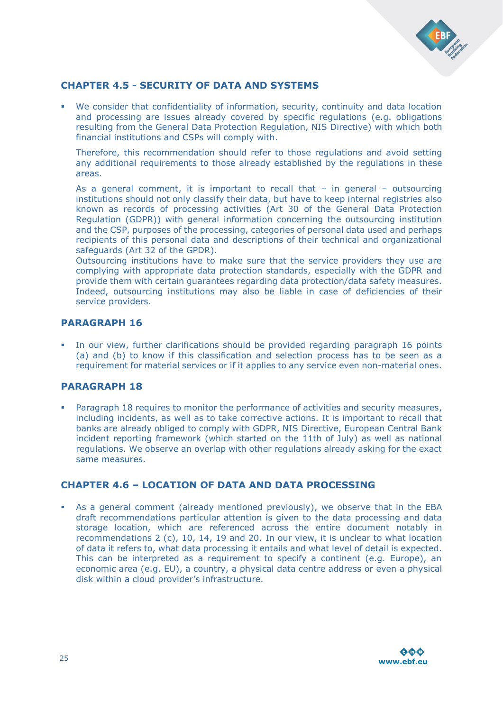

## **CHAPTER 4.5 - SECURITY OF DATA AND SYSTEMS**

 We consider that confidentiality of information, security, continuity and data location and processing are issues already covered by specific regulations (e.g. obligations resulting from the General Data Protection Regulation, NIS Directive) with which both financial institutions and CSPs will comply with.

Therefore, this recommendation should refer to those regulations and avoid setting any additional requirements to those already established by the regulations in these areas.

As a general comment, it is important to recall that  $-$  in general  $-$  outsourcing institutions should not only classify their data, but have to keep internal registries also known as records of processing activities (Art 30 of the General Data Protection Regulation (GDPR)) with general information concerning the outsourcing institution and the CSP, purposes of the processing, categories of personal data used and perhaps recipients of this personal data and descriptions of their technical and organizational safeguards (Art 32 of the GPDR).

Outsourcing institutions have to make sure that the service providers they use are complying with appropriate data protection standards, especially with the GDPR and provide them with certain guarantees regarding data protection/data safety measures. Indeed, outsourcing institutions may also be liable in case of deficiencies of their service providers.

## **PARAGRAPH 16**

 In our view, further clarifications should be provided regarding paragraph 16 points (a) and (b) to know if this classification and selection process has to be seen as a requirement for material services or if it applies to any service even non-material ones.

## **PARAGRAPH 18**

 Paragraph 18 requires to monitor the performance of activities and security measures, including incidents, as well as to take corrective actions. It is important to recall that banks are already obliged to comply with GDPR, NIS Directive, European Central Bank incident reporting framework (which started on the 11th of July) as well as national regulations. We observe an overlap with other regulations already asking for the exact same measures.

## **CHAPTER 4.6 – LOCATION OF DATA AND DATA PROCESSING**

 As a general comment (already mentioned previously), we observe that in the EBA draft recommendations particular attention is given to the data processing and data storage location, which are referenced across the entire document notably in recommendations 2 (c), 10, 14, 19 and 20. In our view, it is unclear to what location of data it refers to, what data processing it entails and what level of detail is expected. This can be interpreted as a requirement to specify a continent (e.g. Europe), an economic area (e.g. EU), a country, a physical data centre address or even a physical disk within a cloud provider's infrastructure.

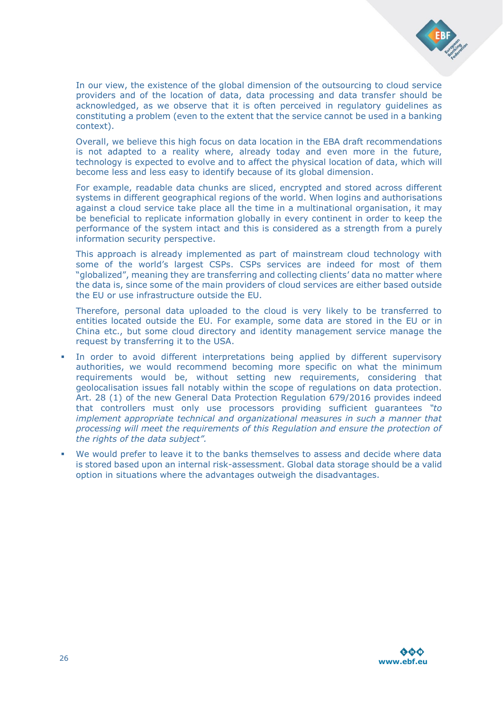

In our view, the existence of the global dimension of the outsourcing to cloud service providers and of the location of data, data processing and data transfer should be acknowledged, as we observe that it is often perceived in regulatory guidelines as constituting a problem (even to the extent that the service cannot be used in a banking context).

Overall, we believe this high focus on data location in the EBA draft recommendations is not adapted to a reality where, already today and even more in the future, technology is expected to evolve and to affect the physical location of data, which will become less and less easy to identify because of its global dimension.

For example, readable data chunks are sliced, encrypted and stored across different systems in different geographical regions of the world. When logins and authorisations against a cloud service take place all the time in a multinational organisation, it may be beneficial to replicate information globally in every continent in order to keep the performance of the system intact and this is considered as a strength from a purely information security perspective.

This approach is already implemented as part of mainstream cloud technology with some of the world's largest CSPs. CSPs services are indeed for most of them "globalized", meaning they are transferring and collecting clients' data no matter where the data is, since some of the main providers of cloud services are either based outside the EU or use infrastructure outside the EU.

Therefore, personal data uploaded to the cloud is very likely to be transferred to entities located outside the EU. For example, some data are stored in the EU or in China etc., but some cloud directory and identity management service manage the request by transferring it to the USA.

- In order to avoid different interpretations being applied by different supervisory authorities, we would recommend becoming more specific on what the minimum requirements would be, without setting new requirements, considering that geolocalisation issues fall notably within the scope of regulations on data protection. Art. 28 (1) of the new General Data Protection Regulation 679/2016 provides indeed that controllers must only use processors providing sufficient guarantees *"to implement appropriate technical and organizational measures in such a manner that processing will meet the requirements of this Regulation and ensure the protection of the rights of the data subject".*
- We would prefer to leave it to the banks themselves to assess and decide where data is stored based upon an internal risk-assessment. Global data storage should be a valid option in situations where the advantages outweigh the disadvantages.

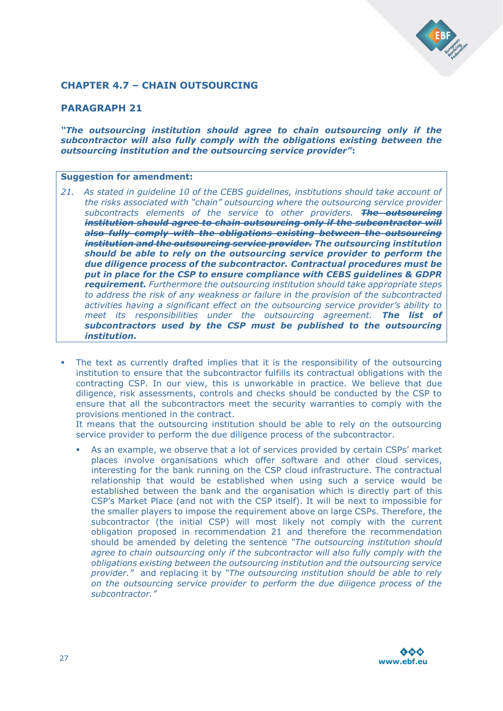

## **CHAPTER 4.7 – CHAIN OUTSOURCING**

#### **PARAGRAPH 21**

*"The outsourcing institution should agree to chain outsourcing only if the subcontractor will also fully comply with the obligations existing between the outsourcing institution and the outsourcing service provider"***:** 

#### **Suggestion for amendment:**

- *21. As stated in guideline 10 of the CEBS guidelines, institutions should take account of the risks associated with "chain" outsourcing where the outsourcing service provider subcontracts elements of the service to other providers. The outsourcing institution should agree to chain outsourcing only if the subcontractor will also fully comply with the obligations existing between the outsourcing institution and the outsourcing service provider. The outsourcing institution should be able to rely on the outsourcing service provider to perform the due diligence process of the subcontractor. Contractual procedures must be put in place for the CSP to ensure compliance with CEBS guidelines & GDPR requirement. Furthermore the outsourcing institution should take appropriate steps to address the risk of any weakness or failure in the provision of the subcontracted activities having a significant effect on the outsourcing service provider's ability to meet its responsibilities under the outsourcing agreement. The list of subcontractors used by the CSP must be published to the outsourcing institution.*
- The text as currently drafted implies that it is the responsibility of the outsourcing institution to ensure that the subcontractor fulfills its contractual obligations with the contracting CSP. In our view, this is unworkable in practice. We believe that due diligence, risk assessments, controls and checks should be conducted by the CSP to ensure that all the subcontractors meet the security warranties to comply with the provisions mentioned in the contract.

It means that the outsourcing institution should be able to rely on the outsourcing service provider to perform the due diligence process of the subcontractor.

 As an example, we observe that a lot of services provided by certain CSPs' market places involve organisations which offer software and other cloud services, interesting for the bank running on the CSP cloud infrastructure. The contractual relationship that would be established when using such a service would be established between the bank and the organisation which is directly part of this CSP's Market Place (and not with the CSP itself). It will be next to impossible for the smaller players to impose the requirement above on large CSPs. Therefore, the subcontractor (the initial CSP) will most likely not comply with the current obligation proposed in recommendation 21 and therefore the recommendation should be amended by deleting the sentence *"The outsourcing institution should agree to chain outsourcing only if the subcontractor will also fully comply with the obligations existing between the outsourcing institution and the outsourcing service provider."* and replacing it by *"The outsourcing institution should be able to rely on the outsourcing service provider to perform the due diligence process of the subcontractor."*

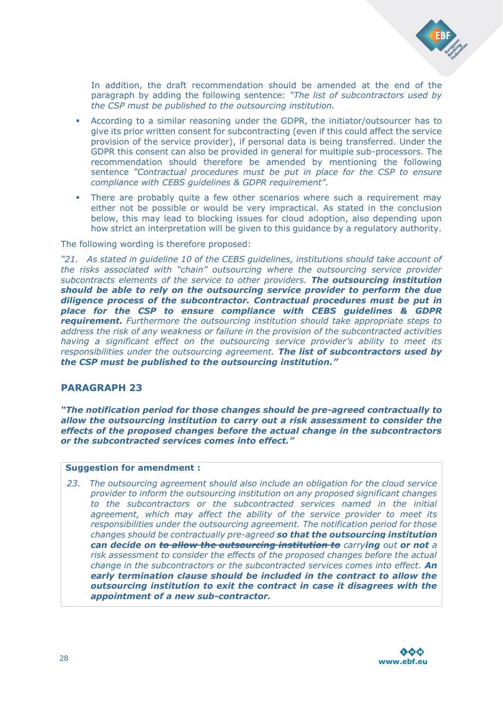

In addition, the draft recommendation should be amended at the end of the paragraph by adding the following sentence: *"The list of subcontractors used by the CSP must be published to the outsourcing institution.*

- According to a similar reasoning under the GDPR, the initiator/outsourcer has to give its prior written consent for subcontracting (even if this could affect the service provision of the service provider), if personal data is being transferred. Under the GDPR this consent can also be provided in general for multiple sub-processors. The recommendation should therefore be amended by mentioning the following sentence *"Contractual procedures must be put in place for the CSP to ensure compliance with CEBS guidelines & GDPR requirement".*
- There are probably quite a few other scenarios where such a requirement may either not be possible or would be very impractical. As stated in the conclusion below, this may lead to blocking issues for cloud adoption, also depending upon how strict an interpretation will be given to this guidance by a regulatory authority.

The following wording is therefore proposed:

*"21. As stated in guideline 10 of the CEBS guidelines, institutions should take account of the risks associated with "chain" outsourcing where the outsourcing service provider subcontracts elements of the service to other providers. The outsourcing institution should be able to rely on the outsourcing service provider to perform the due diligence process of the subcontractor. Contractual procedures must be put in place for the CSP to ensure compliance with CEBS guidelines & GDPR requirement. Furthermore the outsourcing institution should take appropriate steps to address the risk of any weakness or failure in the provision of the subcontracted activities having a significant effect on the outsourcing service provider's ability to meet its responsibilities under the outsourcing agreement. The list of subcontractors used by the CSP must be published to the outsourcing institution."* 

## **PARAGRAPH 23**

*"The notification period for those changes should be pre-agreed contractually to allow the outsourcing institution to carry out a risk assessment to consider the effects of the proposed changes before the actual change in the subcontractors or the subcontracted services comes into effect."*

#### **Suggestion for amendment :**

*23. The outsourcing agreement should also include an obligation for the cloud service provider to inform the outsourcing institution on any proposed significant changes to the subcontractors or the subcontracted services named in the initial agreement, which may affect the ability of the service provider to meet its responsibilities under the outsourcing agreement. The notification period for those changes should be contractually pre-agreed so that the outsourcing institution can decide on to allow the outsourcing institution to carrying out or not a risk assessment to consider the effects of the proposed changes before the actual change in the subcontractors or the subcontracted services comes into effect. An early termination clause should be included in the contract to allow the outsourcing institution to exit the contract in case it disagrees with the appointment of a new sub-contractor.*

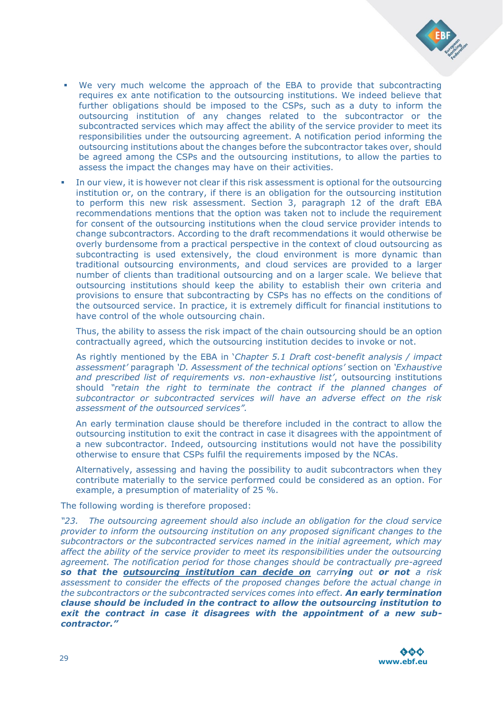

- We very much welcome the approach of the EBA to provide that subcontracting requires ex ante notification to the outsourcing institutions. We indeed believe that further obligations should be imposed to the CSPs, such as a duty to inform the outsourcing institution of any changes related to the subcontractor or the subcontracted services which may affect the ability of the service provider to meet its responsibilities under the outsourcing agreement. A notification period informing the outsourcing institutions about the changes before the subcontractor takes over, should be agreed among the CSPs and the outsourcing institutions, to allow the parties to assess the impact the changes may have on their activities.
- In our view, it is however not clear if this risk assessment is optional for the outsourcing institution or, on the contrary, if there is an obligation for the outsourcing institution to perform this new risk assessment. Section 3, paragraph 12 of the draft EBA recommendations mentions that the option was taken not to include the requirement for consent of the outsourcing institutions when the cloud service provider intends to change subcontractors. According to the draft recommendations it would otherwise be overly burdensome from a practical perspective in the context of cloud outsourcing as subcontracting is used extensively, the cloud environment is more dynamic than traditional outsourcing environments, and cloud services are provided to a larger number of clients than traditional outsourcing and on a larger scale. We believe that outsourcing institutions should keep the ability to establish their own criteria and provisions to ensure that subcontracting by CSPs has no effects on the conditions of the outsourced service. In practice, it is extremely difficult for financial institutions to have control of the whole outsourcing chain.

Thus, the ability to assess the risk impact of the chain outsourcing should be an option contractually agreed, which the outsourcing institution decides to invoke or not.

As rightly mentioned by the EBA in '*Chapter 5.1 Draft cost-benefit analysis / impact assessment'* paragraph *'D. Assessment of the technical options'* section on *'Exhaustive and prescribed list of requirements vs. non-exhaustive list'*, outsourcing institutions should *"retain the right to terminate the contract if the planned changes of subcontractor or subcontracted services will have an adverse effect on the risk assessment of the outsourced services".*

An early termination clause should be therefore included in the contract to allow the outsourcing institution to exit the contract in case it disagrees with the appointment of a new subcontractor. Indeed, outsourcing institutions would not have the possibility otherwise to ensure that CSPs fulfil the requirements imposed by the NCAs.

Alternatively, assessing and having the possibility to audit subcontractors when they contribute materially to the service performed could be considered as an option. For example, a presumption of materiality of 25 %.

The following wording is therefore proposed:

*"23. The outsourcing agreement should also include an obligation for the cloud service provider to inform the outsourcing institution on any proposed significant changes to the subcontractors or the subcontracted services named in the initial agreement, which may affect the ability of the service provider to meet its responsibilities under the outsourcing agreement. The notification period for those changes should be contractually pre-agreed so that the outsourcing institution can decide on carrying out or not a risk assessment to consider the effects of the proposed changes before the actual change in the subcontractors or the subcontracted services comes into effect. An early termination clause should be included in the contract to allow the outsourcing institution to exit the contract in case it disagrees with the appointment of a new subcontractor."*

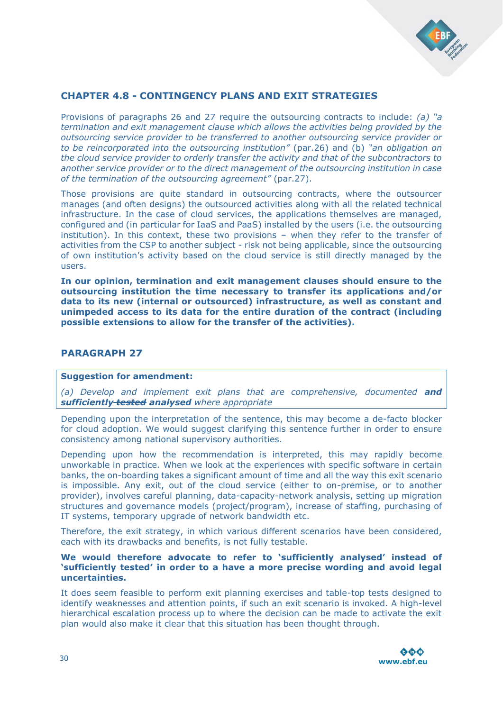

## **CHAPTER 4.8 - CONTINGENCY PLANS AND EXIT STRATEGIES**

Provisions of paragraphs 26 and 27 require the outsourcing contracts to include: *(a) "a termination and exit management clause which allows the activities being provided by the outsourcing service provider to be transferred to another outsourcing service provider or to be reincorporated into the outsourcing institution"* (par.26) and (b) *"an obligation on the cloud service provider to orderly transfer the activity and that of the subcontractors to another service provider or to the direct management of the outsourcing institution in case of the termination of the outsourcing agreement"* (par.27).

Those provisions are quite standard in outsourcing contracts, where the outsourcer manages (and often designs) the outsourced activities along with all the related technical infrastructure. In the case of cloud services, the applications themselves are managed, configured and (in particular for IaaS and PaaS) installed by the users (i.e. the outsourcing institution). In this context, these two provisions – when they refer to the transfer of activities from the CSP to another subject - risk not being applicable, since the outsourcing of own institution's activity based on the cloud service is still directly managed by the users.

**In our opinion, termination and exit management clauses should ensure to the outsourcing institution the time necessary to transfer its applications and/or data to its new (internal or outsourced) infrastructure, as well as constant and unimpeded access to its data for the entire duration of the contract (including possible extensions to allow for the transfer of the activities).**

#### **PARAGRAPH 27**

#### **Suggestion for amendment:**

*(a) Develop and implement exit plans that are comprehensive, documented and sufficiently tested analysed where appropriate*

Depending upon the interpretation of the sentence, this may become a de-facto blocker for cloud adoption. We would suggest clarifying this sentence further in order to ensure consistency among national supervisory authorities.

Depending upon how the recommendation is interpreted, this may rapidly become unworkable in practice. When we look at the experiences with specific software in certain banks, the on-boarding takes a significant amount of time and all the way this exit scenario is impossible. Any exit, out of the cloud service (either to on-premise, or to another provider), involves careful planning, data-capacity-network analysis, setting up migration structures and governance models (project/program), increase of staffing, purchasing of IT systems, temporary upgrade of network bandwidth etc.

Therefore, the exit strategy, in which various different scenarios have been considered, each with its drawbacks and benefits, is not fully testable.

#### **We would therefore advocate to refer to 'sufficiently analysed' instead of 'sufficiently tested' in order to a have a more precise wording and avoid legal uncertainties.**

It does seem feasible to perform exit planning exercises and table-top tests designed to identify weaknesses and attention points, if such an exit scenario is invoked. A high-level hierarchical escalation process up to where the decision can be made to activate the exit plan would also make it clear that this situation has been thought through.

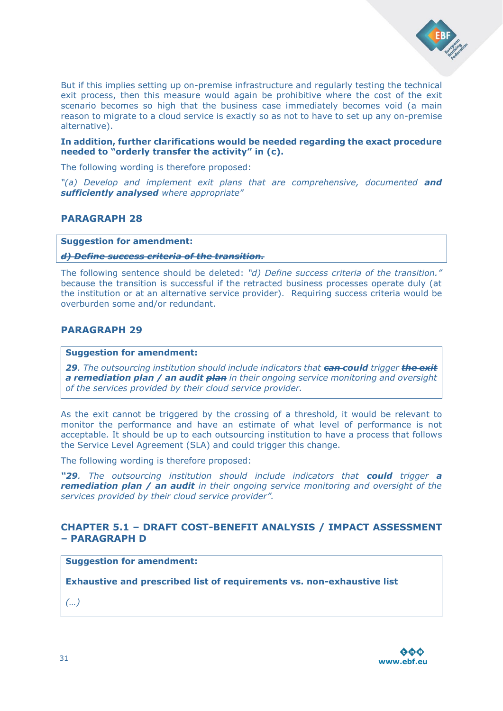

But if this implies setting up on-premise infrastructure and regularly testing the technical exit process, then this measure would again be prohibitive where the cost of the exit scenario becomes so high that the business case immediately becomes void (a main reason to migrate to a cloud service is exactly so as not to have to set up any on-premise alternative).

#### **In addition, further clarifications would be needed regarding the exact procedure needed to "orderly transfer the activity" in (c).**

The following wording is therefore proposed:

*"(a) Develop and implement exit plans that are comprehensive, documented and sufficiently analysed where appropriate"*

## **PARAGRAPH 28**

**Suggestion for amendment:** 

#### *d) Define success criteria of the transition.*

The following sentence should be deleted: *"d) Define success criteria of the transition."* because the transition is successful if the retracted business processes operate duly (at the institution or at an alternative service provider). Requiring success criteria would be overburden some and/or redundant.

## **PARAGRAPH 29**

#### **Suggestion for amendment:**

*29. The outsourcing institution should include indicators that can could trigger the exit a remediation plan / an audit plan in their ongoing service monitoring and oversight of the services provided by their cloud service provider.* 

As the exit cannot be triggered by the crossing of a threshold, it would be relevant to monitor the performance and have an estimate of what level of performance is not acceptable. It should be up to each outsourcing institution to have a process that follows the Service Level Agreement (SLA) and could trigger this change.

The following wording is therefore proposed:

*"29. The outsourcing institution should include indicators that could trigger a remediation plan / an audit in their ongoing service monitoring and oversight of the services provided by their cloud service provider".*

## **CHAPTER 5.1 – DRAFT COST-BENEFIT ANALYSIS / IMPACT ASSESSMENT – PARAGRAPH D**

#### **Suggestion for amendment:**

**Exhaustive and prescribed list of requirements vs. non-exhaustive list**

*(…)*

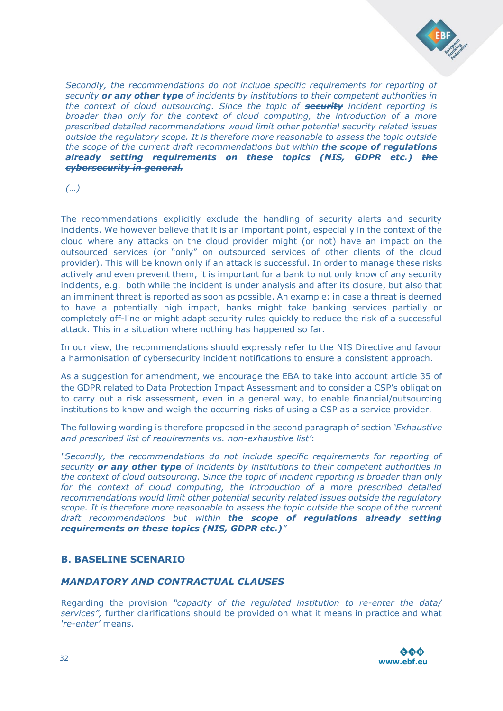

*Secondly, the recommendations do not include specific requirements for reporting of security or any other type of incidents by institutions to their competent authorities in the context of cloud outsourcing. Since the topic of security incident reporting is broader than only for the context of cloud computing, the introduction of a more prescribed detailed recommendations would limit other potential security related issues outside the regulatory scope. It is therefore more reasonable to assess the topic outside the scope of the current draft recommendations but within the scope of regulations already setting requirements on these topics (NIS, GDPR etc.) the cybersecurity in general.*

*(…)*

The recommendations explicitly exclude the handling of security alerts and security incidents. We however believe that it is an important point, especially in the context of the cloud where any attacks on the cloud provider might (or not) have an impact on the outsourced services (or "only" on outsourced services of other clients of the cloud provider). This will be known only if an attack is successful. In order to manage these risks actively and even prevent them, it is important for a bank to not only know of any security incidents, e.g. both while the incident is under analysis and after its closure, but also that an imminent threat is reported as soon as possible. An example: in case a threat is deemed to have a potentially high impact, banks might take banking services partially or completely off-line or might adapt security rules quickly to reduce the risk of a successful attack. This in a situation where nothing has happened so far.

In our view, the recommendations should expressly refer to the NIS Directive and favour a harmonisation of cybersecurity incident notifications to ensure a consistent approach.

As a suggestion for amendment, we encourage the EBA to take into account article 35 of the GDPR related to Data Protection Impact Assessment and to consider a CSP's obligation to carry out a risk assessment, even in a general way, to enable financial/outsourcing institutions to know and weigh the occurring risks of using a CSP as a service provider.

The following wording is therefore proposed in the second paragraph of section *'Exhaustive and prescribed list of requirements vs. non-exhaustive list'*:

*"Secondly, the recommendations do not include specific requirements for reporting of security or any other type of incidents by institutions to their competent authorities in the context of cloud outsourcing. Since the topic of incident reporting is broader than only*  for the context of cloud computing, the introduction of a more prescribed detailed *recommendations would limit other potential security related issues outside the regulatory scope. It is therefore more reasonable to assess the topic outside the scope of the current draft recommendations but within the scope of regulations already setting requirements on these topics (NIS, GDPR etc.)"*

## **B. BASELINE SCENARIO**

## *MANDATORY AND CONTRACTUAL CLAUSES*

Regarding the provision *"capacity of the regulated institution to re-enter the data/ services",* further clarifications should be provided on what it means in practice and what *'re-enter'* means.

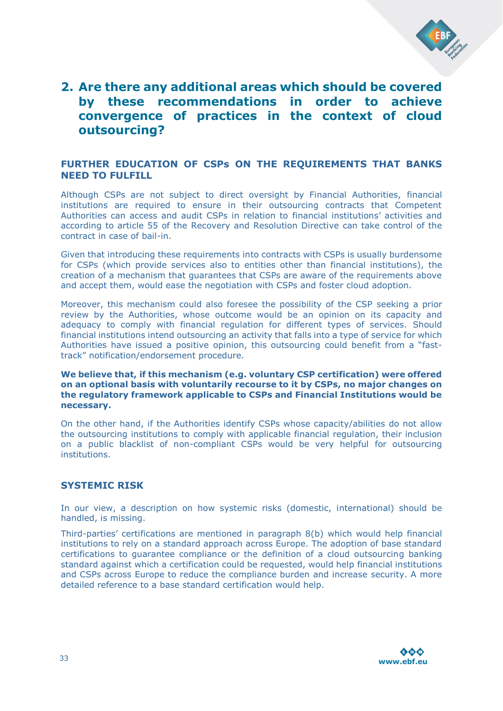

## **2. Are there any additional areas which should be covered by these recommendations in order to achieve convergence of practices in the context of cloud outsourcing?**

## **FURTHER EDUCATION OF CSPs ON THE REQUIREMENTS THAT BANKS NEED TO FULFILL**

Although CSPs are not subject to direct oversight by Financial Authorities, financial institutions are required to ensure in their outsourcing contracts that Competent Authorities can access and audit CSPs in relation to financial institutions' activities and according to article 55 of the Recovery and Resolution Directive can take control of the contract in case of bail-in.

Given that introducing these requirements into contracts with CSPs is usually burdensome for CSPs (which provide services also to entities other than financial institutions), the creation of a mechanism that guarantees that CSPs are aware of the requirements above and accept them, would ease the negotiation with CSPs and foster cloud adoption.

Moreover, this mechanism could also foresee the possibility of the CSP seeking a prior review by the Authorities, whose outcome would be an opinion on its capacity and adequacy to comply with financial regulation for different types of services. Should financial institutions intend outsourcing an activity that falls into a type of service for which Authorities have issued a positive opinion, this outsourcing could benefit from a "fasttrack" notification/endorsement procedure.

**We believe that, if this mechanism (e.g. voluntary CSP certification) were offered on an optional basis with voluntarily recourse to it by CSPs, no major changes on the regulatory framework applicable to CSPs and Financial Institutions would be necessary.**

On the other hand, if the Authorities identify CSPs whose capacity/abilities do not allow the outsourcing institutions to comply with applicable financial regulation, their inclusion on a public blacklist of non-compliant CSPs would be very helpful for outsourcing institutions.

## **SYSTEMIC RISK**

In our view, a description on how systemic risks (domestic, international) should be handled, is missing.

Third-parties' certifications are mentioned in paragraph 8(b) which would help financial institutions to rely on a standard approach across Europe. The adoption of base standard certifications to guarantee compliance or the definition of a cloud outsourcing banking standard against which a certification could be requested, would help financial institutions and CSPs across Europe to reduce the compliance burden and increase security. A more detailed reference to a base standard certification would help.

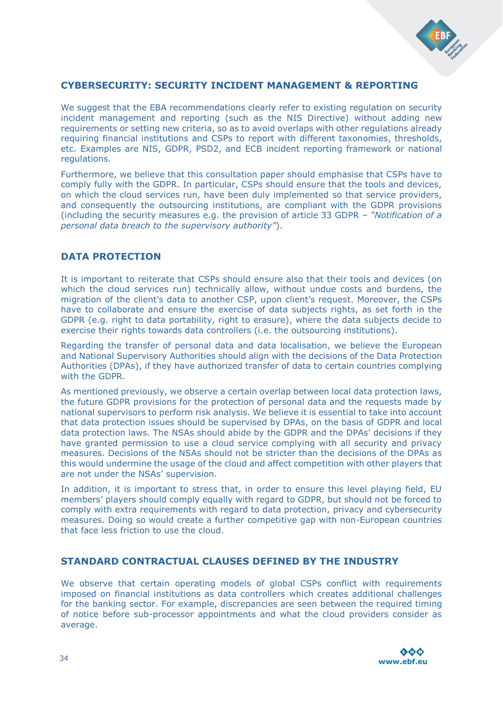

## **CYBERSECURITY: SECURITY INCIDENT MANAGEMENT & REPORTING**

We suggest that the EBA recommendations clearly refer to existing regulation on security incident management and reporting (such as the NIS Directive) without adding new requirements or setting new criteria, so as to avoid overlaps with other regulations already requiring financial institutions and CSPs to report with different taxonomies, thresholds, etc. Examples are NIS, GDPR, PSD2, and ECB incident reporting framework or national regulations.

Furthermore, we believe that this consultation paper should emphasise that CSPs have to comply fully with the GDPR. In particular, CSPs should ensure that the tools and devices, on which the cloud services run, have been duly implemented so that service providers, and consequently the outsourcing institutions, are compliant with the GDPR provisions (including the security measures e.g. the provision of article 33 GDPR – *"Notification of a personal data breach to the supervisory authority"*).

## **DATA PROTECTION**

It is important to reiterate that CSPs should ensure also that their tools and devices (on which the cloud services run) technically allow, without undue costs and burdens, the migration of the client's data to another CSP, upon client's request. Moreover, the CSPs have to collaborate and ensure the exercise of data subjects rights, as set forth in the GDPR (e.g. right to data portability, right to erasure), where the data subjects decide to exercise their rights towards data controllers (i.e. the outsourcing institutions).

Regarding the transfer of personal data and data localisation, we believe the European and National Supervisory Authorities should align with the decisions of the Data Protection Authorities (DPAs), if they have authorized transfer of data to certain countries complying with the GDPR

As mentioned previously, we observe a certain overlap between local data protection laws, the future GDPR provisions for the protection of personal data and the requests made by national supervisors to perform risk analysis. We believe it is essential to take into account that data protection issues should be supervised by DPAs, on the basis of GDPR and local data protection laws. The NSAs should abide by the GDPR and the DPAs' decisions if they have granted permission to use a cloud service complying with all security and privacy measures. Decisions of the NSAs should not be stricter than the decisions of the DPAs as this would undermine the usage of the cloud and affect competition with other players that are not under the NSAs' supervision.

In addition, it is important to stress that, in order to ensure this level playing field, EU members' players should comply equally with regard to GDPR, but should not be forced to comply with extra requirements with regard to data protection, privacy and cybersecurity measures. Doing so would create a further competitive gap with non-European countries that face less friction to use the cloud.

## **STANDARD CONTRACTUAL CLAUSES DEFINED BY THE INDUSTRY**

We observe that certain operating models of global CSPs conflict with requirements imposed on financial institutions as data controllers which creates additional challenges for the banking sector. For example, discrepancies are seen between the required timing of notice before sub-processor appointments and what the cloud providers consider as average.

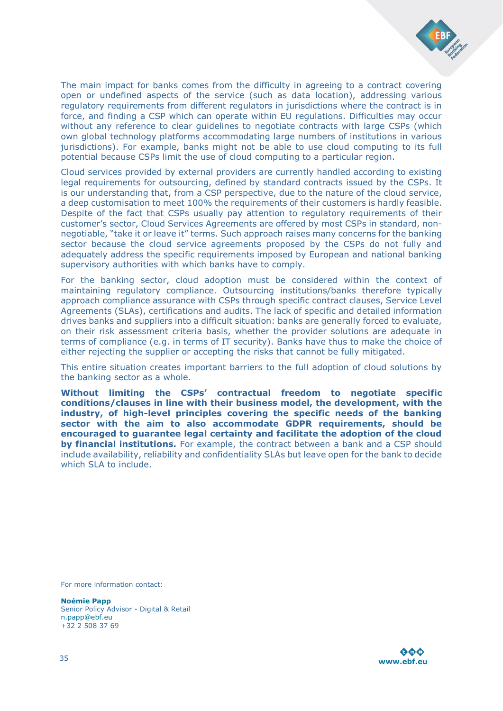

The main impact for banks comes from the difficulty in agreeing to a contract covering open or undefined aspects of the service (such as data location), addressing various regulatory requirements from different regulators in jurisdictions where the contract is in force, and finding a CSP which can operate within EU regulations. Difficulties may occur without any reference to clear guidelines to negotiate contracts with large CSPs (which own global technology platforms accommodating large numbers of institutions in various jurisdictions). For example, banks might not be able to use cloud computing to its full potential because CSPs limit the use of cloud computing to a particular region.

Cloud services provided by external providers are currently handled according to existing legal requirements for outsourcing, defined by standard contracts issued by the CSPs. It is our understanding that, from a CSP perspective, due to the nature of the cloud service, a deep customisation to meet 100% the requirements of their customers is hardly feasible. Despite of the fact that CSPs usually pay attention to regulatory requirements of their customer's sector, Cloud Services Agreements are offered by most CSPs in standard, nonnegotiable, "take it or leave it" terms. Such approach raises many concerns for the banking sector because the cloud service agreements proposed by the CSPs do not fully and adequately address the specific requirements imposed by European and national banking supervisory authorities with which banks have to comply.

For the banking sector, cloud adoption must be considered within the context of maintaining regulatory compliance. Outsourcing institutions/banks therefore typically approach compliance assurance with CSPs through specific contract clauses, Service Level Agreements (SLAs), certifications and audits. The lack of specific and detailed information drives banks and suppliers into a difficult situation: banks are generally forced to evaluate, on their risk assessment criteria basis, whether the provider solutions are adequate in terms of compliance (e.g. in terms of IT security). Banks have thus to make the choice of either rejecting the supplier or accepting the risks that cannot be fully mitigated.

This entire situation creates important barriers to the full adoption of cloud solutions by the banking sector as a whole.

**Without limiting the CSPs' contractual freedom to negotiate specific conditions/clauses in line with their business model, the development, with the industry, of high-level principles covering the specific needs of the banking sector with the aim to also accommodate GDPR requirements, should be encouraged to guarantee legal certainty and facilitate the adoption of the cloud by financial institutions.** For example, the contract between a bank and a CSP should include availability, reliability and confidentiality SLAs but leave open for the bank to decide which SLA to include.

For more information contact:

**Noémie Papp** Senior Policy Advisor - Digital & Retail [n.papp@ebf.eu](mailto:n.papp@ebf.eu) +32 2 508 37 69